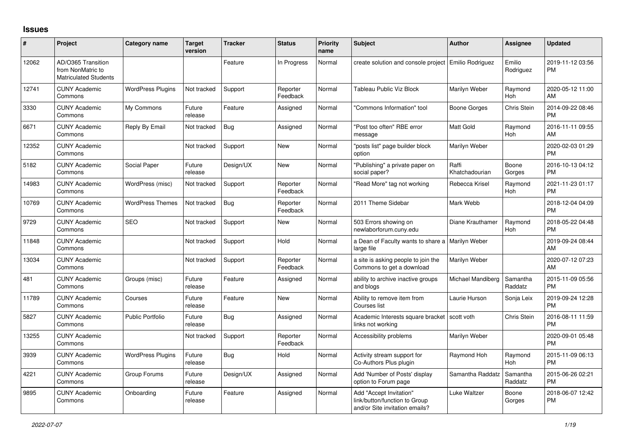## **Issues**

| #     | Project                                                                 | <b>Category name</b>     | <b>Target</b><br>version | <b>Tracker</b> | <b>Status</b>        | <b>Priority</b><br>name | <b>Subject</b>                                                                             | <b>Author</b>           | <b>Assignee</b>     | <b>Updated</b>                |
|-------|-------------------------------------------------------------------------|--------------------------|--------------------------|----------------|----------------------|-------------------------|--------------------------------------------------------------------------------------------|-------------------------|---------------------|-------------------------------|
| 12062 | AD/O365 Transition<br>from NonMatric to<br><b>Matriculated Students</b> |                          |                          | Feature        | In Progress          | Normal                  | create solution and console project                                                        | Emilio Rodriguez        | Emilio<br>Rodriguez | 2019-11-12 03:56<br>PM        |
| 12741 | <b>CUNY Academic</b><br>Commons                                         | <b>WordPress Plugins</b> | Not tracked              | Support        | Reporter<br>Feedback | Normal                  | Tableau Public Viz Block                                                                   | Marilyn Weber           | Raymond<br>Hoh      | 2020-05-12 11:00<br>AM        |
| 3330  | <b>CUNY Academic</b><br>Commons                                         | My Commons               | Future<br>release        | Feature        | Assigned             | Normal                  | "Commons Information" tool                                                                 | Boone Gorges            | Chris Stein         | 2014-09-22 08:46<br><b>PM</b> |
| 6671  | <b>CUNY Academic</b><br>Commons                                         | Reply By Email           | Not tracked              | <b>Bug</b>     | Assigned             | Normal                  | "Post too often" RBE error<br>message                                                      | <b>Matt Gold</b>        | Raymond<br>Hoh      | 2016-11-11 09:55<br>AM        |
| 12352 | <b>CUNY Academic</b><br>Commons                                         |                          | Not tracked              | Support        | New                  | Normal                  | "posts list" page builder block<br>option                                                  | Marilyn Weber           |                     | 2020-02-03 01:29<br>PM        |
| 5182  | <b>CUNY Academic</b><br>Commons                                         | Social Paper             | Future<br>release        | Design/UX      | New                  | Normal                  | "Publishing" a private paper on<br>social paper?                                           | Raffi<br>Khatchadourian | Boone<br>Gorges     | 2016-10-13 04:12<br><b>PM</b> |
| 14983 | <b>CUNY Academic</b><br>Commons                                         | WordPress (misc)         | Not tracked              | Support        | Reporter<br>Feedback | Normal                  | "Read More" tag not working                                                                | Rebecca Krisel          | Raymond<br>Hoh      | 2021-11-23 01:17<br><b>PM</b> |
| 10769 | <b>CUNY Academic</b><br>Commons                                         | <b>WordPress Themes</b>  | Not tracked              | Bug            | Reporter<br>Feedback | Normal                  | 2011 Theme Sidebar                                                                         | Mark Webb               |                     | 2018-12-04 04:09<br><b>PM</b> |
| 9729  | <b>CUNY Academic</b><br>Commons                                         | <b>SEO</b>               | Not tracked              | Support        | <b>New</b>           | Normal                  | 503 Errors showing on<br>newlaborforum.cuny.edu                                            | Diane Krauthamer        | Raymond<br>Hoh      | 2018-05-22 04:48<br><b>PM</b> |
| 11848 | <b>CUNY Academic</b><br>Commons                                         |                          | Not tracked              | Support        | Hold                 | Normal                  | a Dean of Faculty wants to share a   Marilyn Weber<br>large file                           |                         |                     | 2019-09-24 08:44<br>AM        |
| 13034 | <b>CUNY Academic</b><br>Commons                                         |                          | Not tracked              | Support        | Reporter<br>Feedback | Normal                  | a site is asking people to join the<br>Commons to get a download                           | Marilyn Weber           |                     | 2020-07-12 07:23<br>AM        |
| 481   | <b>CUNY Academic</b><br>Commons                                         | Groups (misc)            | Future<br>release        | Feature        | Assigned             | Normal                  | ability to archive inactive groups<br>and blogs                                            | Michael Mandiberg       | Samantha<br>Raddatz | 2015-11-09 05:56<br><b>PM</b> |
| 11789 | <b>CUNY Academic</b><br>Commons                                         | Courses                  | Future<br>release        | Feature        | <b>New</b>           | Normal                  | Ability to remove item from<br>Courses list                                                | Laurie Hurson           | Sonja Leix          | 2019-09-24 12:28<br><b>PM</b> |
| 5827  | <b>CUNY Academic</b><br>Commons                                         | <b>Public Portfolio</b>  | Future<br>release        | <b>Bug</b>     | Assigned             | Normal                  | Academic Interests square bracket<br>links not working                                     | scott voth              | <b>Chris Stein</b>  | 2016-08-11 11:59<br><b>PM</b> |
| 13255 | <b>CUNY Academic</b><br>Commons                                         |                          | Not tracked              | Support        | Reporter<br>Feedback | Normal                  | Accessibility problems                                                                     | Marilyn Weber           |                     | 2020-09-01 05:48<br><b>PM</b> |
| 3939  | <b>CUNY Academic</b><br>Commons                                         | <b>WordPress Plugins</b> | Future<br>release        | Bug            | Hold                 | Normal                  | Activity stream support for<br>Co-Authors Plus plugin                                      | Raymond Hoh             | Raymond<br>Hoh      | 2015-11-09 06:13<br><b>PM</b> |
| 4221  | <b>CUNY Academic</b><br>Commons                                         | Group Forums             | Future<br>release        | Design/UX      | Assigned             | Normal                  | Add 'Number of Posts' display<br>option to Forum page                                      | Samantha Raddatz        | Samantha<br>Raddatz | 2015-06-26 02:21<br><b>PM</b> |
| 9895  | <b>CUNY Academic</b><br>Commons                                         | Onboarding               | Future<br>release        | Feature        | Assigned             | Normal                  | Add "Accept Invitation"<br>link/button/function to Group<br>and/or Site invitation emails? | Luke Waltzer            | Boone<br>Gorges     | 2018-06-07 12:42<br><b>PM</b> |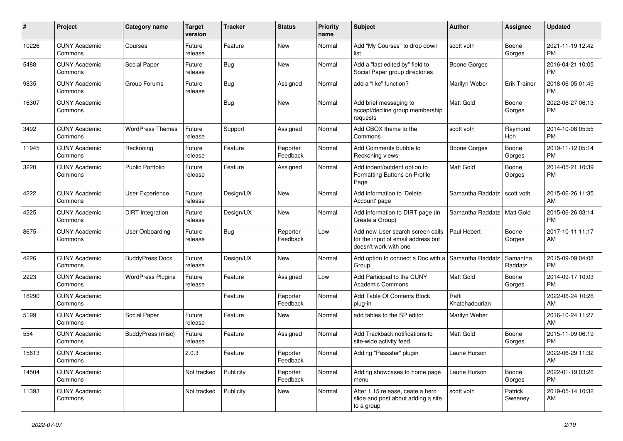| #     | Project                         | <b>Category name</b>     | <b>Target</b><br>version | <b>Tracker</b> | <b>Status</b>        | <b>Priority</b><br>name | <b>Subject</b>                                                                                  | <b>Author</b>           | Assignee            | <b>Updated</b>                |
|-------|---------------------------------|--------------------------|--------------------------|----------------|----------------------|-------------------------|-------------------------------------------------------------------------------------------------|-------------------------|---------------------|-------------------------------|
| 10226 | <b>CUNY Academic</b><br>Commons | Courses                  | Future<br>release        | Feature        | <b>New</b>           | Normal                  | Add "My Courses" to drop down<br>list                                                           | scott voth              | Boone<br>Gorges     | 2021-11-19 12:42<br>PM        |
| 5488  | <b>CUNY Academic</b><br>Commons | Social Paper             | Future<br>release        | Bug            | New                  | Normal                  | Add a "last edited by" field to<br>Social Paper group directories                               | Boone Gorges            |                     | 2016-04-21 10:05<br><b>PM</b> |
| 9835  | <b>CUNY Academic</b><br>Commons | Group Forums             | Future<br>release        | <b>Bug</b>     | Assigned             | Normal                  | add a "like" function?                                                                          | Marilyn Weber           | <b>Erik Trainer</b> | 2018-06-05 01:49<br><b>PM</b> |
| 16307 | <b>CUNY Academic</b><br>Commons |                          |                          | <b>Bug</b>     | New                  | Normal                  | Add brief messaging to<br>accept/decline group membership<br>requests                           | <b>Matt Gold</b>        | Boone<br>Gorges     | 2022-06-27 06:13<br>PM        |
| 3492  | <b>CUNY Academic</b><br>Commons | <b>WordPress Themes</b>  | Future<br>release        | Support        | Assigned             | Normal                  | Add CBOX theme to the<br>Commons                                                                | scott voth              | Raymond<br>Hoh      | 2014-10-08 05:55<br><b>PM</b> |
| 11945 | <b>CUNY Academic</b><br>Commons | Reckoning                | Future<br>release        | Feature        | Reporter<br>Feedback | Normal                  | Add Comments bubble to<br>Reckoning views                                                       | Boone Gorges            | Boone<br>Gorges     | 2019-11-12 05:14<br><b>PM</b> |
| 3220  | <b>CUNY Academic</b><br>Commons | <b>Public Portfolio</b>  | Future<br>release        | Feature        | Assigned             | Normal                  | Add indent/outdent option to<br>Formatting Buttons on Profile<br>Page                           | <b>Matt Gold</b>        | Boone<br>Gorges     | 2014-05-21 10:39<br><b>PM</b> |
| 4222  | <b>CUNY Academic</b><br>Commons | <b>User Experience</b>   | Future<br>release        | Design/UX      | New                  | Normal                  | Add information to 'Delete<br>Account' page                                                     | Samantha Raddatz        | scott voth          | 2015-06-26 11:35<br>AM        |
| 4225  | <b>CUNY Academic</b><br>Commons | DiRT Integration         | Future<br>release        | Design/UX      | <b>New</b>           | Normal                  | Add information to DIRT page (in<br>Create a Group)                                             | Samantha Raddatz        | Matt Gold           | 2015-06-26 03:14<br><b>PM</b> |
| 8675  | <b>CUNY Academic</b><br>Commons | User Onboarding          | Future<br>release        | Bug            | Reporter<br>Feedback | Low                     | Add new User search screen calls<br>for the input of email address but<br>doesn't work with one | Paul Hebert             | Boone<br>Gorges     | 2017-10-11 11:17<br>AM        |
| 4226  | <b>CUNY Academic</b><br>Commons | <b>BuddyPress Docs</b>   | Future<br>release        | Design/UX      | New                  | Normal                  | Add option to connect a Doc with a Samantha Raddatz<br>Group                                    |                         | Samantha<br>Raddatz | 2015-09-09 04:08<br><b>PM</b> |
| 2223  | <b>CUNY Academic</b><br>Commons | <b>WordPress Plugins</b> | Future<br>release        | Feature        | Assigned             | Low                     | Add Participad to the CUNY<br><b>Academic Commons</b>                                           | <b>Matt Gold</b>        | Boone<br>Gorges     | 2014-09-17 10:03<br><b>PM</b> |
| 16290 | <b>CUNY Academic</b><br>Commons |                          |                          | Feature        | Reporter<br>Feedback | Normal                  | Add Table Of Contents Block<br>plug-in                                                          | Raffi<br>Khatchadourian |                     | 2022-06-24 10:26<br>AM        |
| 5199  | <b>CUNY Academic</b><br>Commons | Social Paper             | Future<br>release        | Feature        | New                  | Normal                  | add tables to the SP editor                                                                     | Marilyn Weber           |                     | 2016-10-24 11:27<br>AM        |
| 554   | <b>CUNY Academic</b><br>Commons | BuddyPress (misc)        | Future<br>release        | Feature        | Assigned             | Normal                  | Add Trackback notifications to<br>site-wide activity feed                                       | <b>Matt Gold</b>        | Boone<br>Gorges     | 2015-11-09 06:19<br>PM        |
| 15613 | <b>CUNY Academic</b><br>Commons |                          | 2.0.3                    | Feature        | Reporter<br>Feedback | Normal                  | Adding "Passster" plugin                                                                        | Laurie Hurson           |                     | 2022-06-29 11:32<br>AM        |
| 14504 | <b>CUNY Academic</b><br>Commons |                          | Not tracked              | Publicity      | Reporter<br>Feedback | Normal                  | Adding showcases to home page<br>menu                                                           | Laurie Hurson           | Boone<br>Gorges     | 2022-01-19 03:26<br><b>PM</b> |
| 11393 | <b>CUNY Academic</b><br>Commons |                          | Not tracked              | Publicity      | New                  | Normal                  | After 1.15 release, ceate a hero<br>slide and post about adding a site<br>to a group            | scott voth              | Patrick<br>Sweeney  | 2019-05-14 10:32<br>AM        |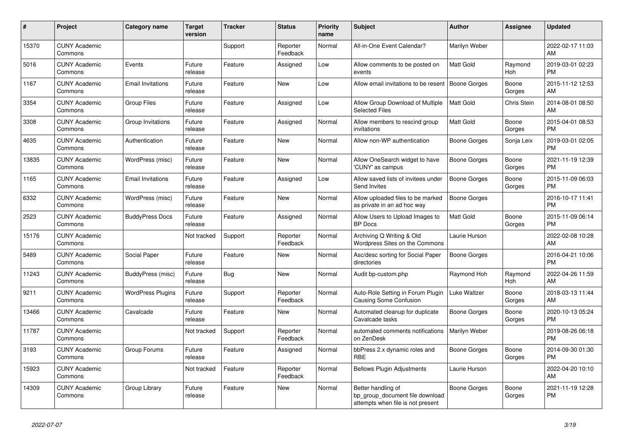| #     | <b>Project</b>                  | <b>Category name</b>     | <b>Target</b><br>version | <b>Tracker</b> | <b>Status</b>        | <b>Priority</b><br>name | <b>Subject</b>                                                                             | <b>Author</b>       | Assignee        | <b>Updated</b>                |
|-------|---------------------------------|--------------------------|--------------------------|----------------|----------------------|-------------------------|--------------------------------------------------------------------------------------------|---------------------|-----------------|-------------------------------|
| 15370 | <b>CUNY Academic</b><br>Commons |                          |                          | Support        | Reporter<br>Feedback | Normal                  | All-in-One Event Calendar?                                                                 | Marilyn Weber       |                 | 2022-02-17 11:03<br>AM        |
| 5016  | <b>CUNY Academic</b><br>Commons | Events                   | Future<br>release        | Feature        | Assigned             | Low                     | Allow comments to be posted on<br>events                                                   | <b>Matt Gold</b>    | Raymond<br>Hoh  | 2019-03-01 02:23<br><b>PM</b> |
| 1167  | <b>CUNY Academic</b><br>Commons | <b>Email Invitations</b> | Future<br>release        | Feature        | <b>New</b>           | Low                     | Allow email invitations to be resent                                                       | <b>Boone Gorges</b> | Boone<br>Gorges | 2015-11-12 12:53<br>AM        |
| 3354  | <b>CUNY Academic</b><br>Commons | <b>Group Files</b>       | Future<br>release        | Feature        | Assigned             | Low                     | Allow Group Download of Multiple<br><b>Selected Files</b>                                  | Matt Gold           | Chris Stein     | 2014-08-01 08:50<br>AM        |
| 3308  | <b>CUNY Academic</b><br>Commons | Group Invitations        | Future<br>release        | Feature        | Assigned             | Normal                  | Allow members to rescind group<br>invitations                                              | Matt Gold           | Boone<br>Gorges | 2015-04-01 08:53<br><b>PM</b> |
| 4635  | <b>CUNY Academic</b><br>Commons | Authentication           | Future<br>release        | Feature        | New                  | Normal                  | Allow non-WP authentication                                                                | Boone Gorges        | Sonja Leix      | 2019-03-01 02:05<br><b>PM</b> |
| 13835 | <b>CUNY Academic</b><br>Commons | WordPress (misc)         | Future<br>release        | Feature        | <b>New</b>           | Normal                  | Allow OneSearch widget to have<br>'CUNY' as campus                                         | <b>Boone Gorges</b> | Boone<br>Gorges | 2021-11-19 12:39<br><b>PM</b> |
| 1165  | <b>CUNY Academic</b><br>Commons | <b>Email Invitations</b> | Future<br>release        | Feature        | Assigned             | Low                     | Allow saved lists of invitees under<br>Send Invites                                        | Boone Gorges        | Boone<br>Gorges | 2015-11-09 06:03<br><b>PM</b> |
| 6332  | <b>CUNY Academic</b><br>Commons | WordPress (misc)         | Future<br>release        | Feature        | <b>New</b>           | Normal                  | Allow uploaded files to be marked<br>as private in an ad hoc way                           | Boone Gorges        |                 | 2016-10-17 11:41<br><b>PM</b> |
| 2523  | <b>CUNY Academic</b><br>Commons | <b>BuddyPress Docs</b>   | Future<br>release        | Feature        | Assigned             | Normal                  | Allow Users to Upload Images to<br><b>BP</b> Docs                                          | Matt Gold           | Boone<br>Gorges | 2015-11-09 06:14<br><b>PM</b> |
| 15176 | <b>CUNY Academic</b><br>Commons |                          | Not tracked              | Support        | Reporter<br>Feedback | Normal                  | Archiving Q Writing & Old<br>Wordpress Sites on the Commons                                | Laurie Hurson       |                 | 2022-02-08 10:28<br>AM        |
| 5489  | <b>CUNY Academic</b><br>Commons | Social Paper             | Future<br>release        | Feature        | <b>New</b>           | Normal                  | Asc/desc sorting for Social Paper<br>directories                                           | Boone Gorges        |                 | 2016-04-21 10:06<br><b>PM</b> |
| 11243 | <b>CUNY Academic</b><br>Commons | BuddyPress (misc)        | Future<br>release        | Bug            | <b>New</b>           | Normal                  | Audit bp-custom.php                                                                        | Raymond Hoh         | Raymond<br>Hoh  | 2022-04-26 11:59<br>AM        |
| 9211  | <b>CUNY Academic</b><br>Commons | <b>WordPress Plugins</b> | Future<br>release        | Support        | Reporter<br>Feedback | Normal                  | Auto-Role Setting in Forum Plugin<br><b>Causing Some Confusion</b>                         | Luke Waltzer        | Boone<br>Gorges | 2018-03-13 11:44<br>AM        |
| 13466 | <b>CUNY Academic</b><br>Commons | Cavalcade                | Future<br>release        | Feature        | <b>New</b>           | Normal                  | Automated cleanup for duplicate<br>Cavalcade tasks                                         | Boone Gorges        | Boone<br>Gorges | 2020-10-13 05:24<br><b>PM</b> |
| 11787 | <b>CUNY Academic</b><br>Commons |                          | Not tracked              | Support        | Reporter<br>Feedback | Normal                  | automated comments notifications<br>on ZenDesk                                             | Marilyn Weber       |                 | 2019-08-26 06:18<br><b>PM</b> |
| 3193  | <b>CUNY Academic</b><br>Commons | Group Forums             | Future<br>release        | Feature        | Assigned             | Normal                  | bbPress 2.x dynamic roles and<br><b>RBE</b>                                                | Boone Gorges        | Boone<br>Gorges | 2014-09-30 01:30<br><b>PM</b> |
| 15923 | <b>CUNY Academic</b><br>Commons |                          | Not tracked              | Feature        | Reporter<br>Feedback | Normal                  | <b>Bellows Plugin Adjustments</b>                                                          | Laurie Hurson       |                 | 2022-04-20 10:10<br>AM        |
| 14309 | <b>CUNY Academic</b><br>Commons | Group Library            | Future<br>release        | Feature        | New                  | Normal                  | Better handling of<br>bp group document file download<br>attempts when file is not present | Boone Gorges        | Boone<br>Gorges | 2021-11-19 12:28<br><b>PM</b> |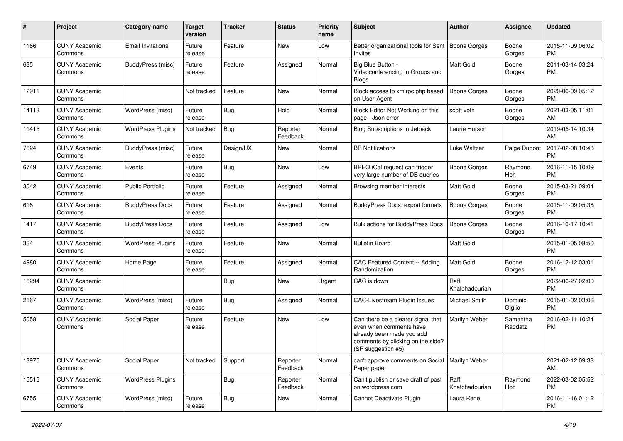| #     | Project                         | <b>Category name</b>     | <b>Target</b><br>version | <b>Tracker</b> | <b>Status</b>        | <b>Priority</b><br>name | <b>Subject</b>                                                                                                                                        | Author                  | <b>Assignee</b>     | <b>Updated</b>                |
|-------|---------------------------------|--------------------------|--------------------------|----------------|----------------------|-------------------------|-------------------------------------------------------------------------------------------------------------------------------------------------------|-------------------------|---------------------|-------------------------------|
| 1166  | <b>CUNY Academic</b><br>Commons | <b>Email Invitations</b> | Future<br>release        | Feature        | New                  | Low                     | Better organizational tools for Sent<br>Invites                                                                                                       | <b>Boone Gorges</b>     | Boone<br>Gorges     | 2015-11-09 06:02<br>PM        |
| 635   | <b>CUNY Academic</b><br>Commons | BuddyPress (misc)        | Future<br>release        | Feature        | Assigned             | Normal                  | Big Blue Button -<br>Videoconferencing in Groups and<br><b>Blogs</b>                                                                                  | Matt Gold               | Boone<br>Gorges     | 2011-03-14 03:24<br>PM        |
| 12911 | <b>CUNY Academic</b><br>Commons |                          | Not tracked              | Feature        | New                  | Normal                  | Block access to xmlrpc.php based<br>on User-Agent                                                                                                     | <b>Boone Gorges</b>     | Boone<br>Gorges     | 2020-06-09 05:12<br>PM        |
| 14113 | <b>CUNY Academic</b><br>Commons | WordPress (misc)         | Future<br>release        | <b>Bug</b>     | Hold                 | Normal                  | Block Editor Not Working on this<br>page - Json error                                                                                                 | scott voth              | Boone<br>Gorges     | 2021-03-05 11:01<br>AM        |
| 11415 | <b>CUNY Academic</b><br>Commons | <b>WordPress Plugins</b> | Not tracked              | <b>Bug</b>     | Reporter<br>Feedback | Normal                  | <b>Blog Subscriptions in Jetpack</b>                                                                                                                  | Laurie Hurson           |                     | 2019-05-14 10:34<br>AM        |
| 7624  | <b>CUNY Academic</b><br>Commons | BuddyPress (misc)        | Future<br>release        | Design/UX      | New                  | Normal                  | <b>BP</b> Notifications                                                                                                                               | Luke Waltzer            | Paige Dupont        | 2017-02-08 10:43<br><b>PM</b> |
| 6749  | <b>CUNY Academic</b><br>Commons | Events                   | Future<br>release        | Bug            | New                  | Low                     | BPEO iCal request can trigger<br>very large number of DB queries                                                                                      | <b>Boone Gorges</b>     | Raymond<br>Hoh      | 2016-11-15 10:09<br><b>PM</b> |
| 3042  | <b>CUNY Academic</b><br>Commons | <b>Public Portfolio</b>  | Future<br>release        | Feature        | Assigned             | Normal                  | Browsing member interests                                                                                                                             | <b>Matt Gold</b>        | Boone<br>Gorges     | 2015-03-21 09:04<br>PM        |
| 618   | <b>CUNY Academic</b><br>Commons | <b>BuddyPress Docs</b>   | Future<br>release        | Feature        | Assigned             | Normal                  | BuddyPress Docs: export formats                                                                                                                       | <b>Boone Gorges</b>     | Boone<br>Gorges     | 2015-11-09 05:38<br>PM        |
| 1417  | <b>CUNY Academic</b><br>Commons | <b>BuddyPress Docs</b>   | Future<br>release        | Feature        | Assigned             | Low                     | <b>Bulk actions for BuddyPress Docs</b>                                                                                                               | <b>Boone Gorges</b>     | Boone<br>Gorges     | 2016-10-17 10:41<br><b>PM</b> |
| 364   | <b>CUNY Academic</b><br>Commons | <b>WordPress Plugins</b> | Future<br>release        | Feature        | New                  | Normal                  | <b>Bulletin Board</b>                                                                                                                                 | Matt Gold               |                     | 2015-01-05 08:50<br>PM        |
| 4980  | <b>CUNY Academic</b><br>Commons | Home Page                | Future<br>release        | Feature        | Assigned             | Normal                  | CAC Featured Content -- Adding<br>Randomization                                                                                                       | Matt Gold               | Boone<br>Gorges     | 2016-12-12 03:01<br>PM        |
| 16294 | <b>CUNY Academic</b><br>Commons |                          |                          | <b>Bug</b>     | New                  | Urgent                  | CAC is down                                                                                                                                           | Raffi<br>Khatchadourian |                     | 2022-06-27 02:00<br><b>PM</b> |
| 2167  | <b>CUNY Academic</b><br>Commons | WordPress (misc)         | Future<br>release        | <b>Bug</b>     | Assigned             | Normal                  | <b>CAC-Livestream Plugin Issues</b>                                                                                                                   | Michael Smith           | Dominic<br>Giglio   | 2015-01-02 03:06<br><b>PM</b> |
| 5058  | <b>CUNY Academic</b><br>Commons | Social Paper             | Future<br>release        | Feature        | New                  | Low                     | Can there be a clearer signal that<br>even when comments have<br>already been made you add<br>comments by clicking on the side?<br>(SP suggestion #5) | Marilyn Weber           | Samantha<br>Raddatz | 2016-02-11 10:24<br>PM        |
| 13975 | <b>CUNY Academic</b><br>Commons | Social Paper             | Not tracked              | Support        | Reporter<br>Feedback | Normal                  | can't approve comments on Social<br>Paper paper                                                                                                       | Marilyn Weber           |                     | 2021-02-12 09:33<br>AM        |
| 15516 | <b>CUNY Academic</b><br>Commons | <b>WordPress Plugins</b> |                          | Bug            | Reporter<br>Feedback | Normal                  | Can't publish or save draft of post<br>on wordpress.com                                                                                               | Raffi<br>Khatchadourian | Raymond<br>Hoh      | 2022-03-02 05:52<br><b>PM</b> |
| 6755  | <b>CUNY Academic</b><br>Commons | WordPress (misc)         | Future<br>release        | Bug            | New                  | Normal                  | Cannot Deactivate Plugin                                                                                                                              | Laura Kane              |                     | 2016-11-16 01:12<br><b>PM</b> |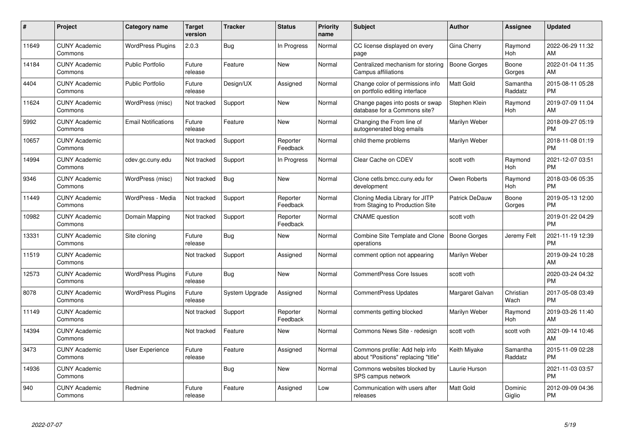| #     | Project                         | Category name              | <b>Target</b><br>version | <b>Tracker</b> | <b>Status</b>        | <b>Priority</b><br>name | <b>Subject</b>                                                        | <b>Author</b>       | Assignee            | <b>Updated</b>                |
|-------|---------------------------------|----------------------------|--------------------------|----------------|----------------------|-------------------------|-----------------------------------------------------------------------|---------------------|---------------------|-------------------------------|
| 11649 | <b>CUNY Academic</b><br>Commons | <b>WordPress Plugins</b>   | 2.0.3                    | <b>Bug</b>     | In Progress          | Normal                  | CC license displayed on every<br>page                                 | Gina Cherry         | Raymond<br>Hoh      | 2022-06-29 11:32<br>AM        |
| 14184 | <b>CUNY Academic</b><br>Commons | <b>Public Portfolio</b>    | Future<br>release        | Feature        | New                  | Normal                  | Centralized mechanism for storing<br>Campus affiliations              | <b>Boone Gorges</b> | Boone<br>Gorges     | 2022-01-04 11:35<br>AM        |
| 4404  | <b>CUNY Academic</b><br>Commons | Public Portfolio           | Future<br>release        | Design/UX      | Assigned             | Normal                  | Change color of permissions info<br>on portfolio editing interface    | <b>Matt Gold</b>    | Samantha<br>Raddatz | 2015-08-11 05:28<br><b>PM</b> |
| 11624 | <b>CUNY Academic</b><br>Commons | WordPress (misc)           | Not tracked              | Support        | <b>New</b>           | Normal                  | Change pages into posts or swap<br>database for a Commons site?       | Stephen Klein       | Raymond<br>Hoh      | 2019-07-09 11:04<br>AM        |
| 5992  | <b>CUNY Academic</b><br>Commons | <b>Email Notifications</b> | Future<br>release        | Feature        | <b>New</b>           | Normal                  | Changing the From line of<br>autogenerated blog emails                | Marilyn Weber       |                     | 2018-09-27 05:19<br><b>PM</b> |
| 10657 | <b>CUNY Academic</b><br>Commons |                            | Not tracked              | Support        | Reporter<br>Feedback | Normal                  | child theme problems                                                  | Marilyn Weber       |                     | 2018-11-08 01:19<br><b>PM</b> |
| 14994 | <b>CUNY Academic</b><br>Commons | cdev.gc.cuny.edu           | Not tracked              | Support        | In Progress          | Normal                  | Clear Cache on CDEV                                                   | scott voth          | Raymond<br>Hoh      | 2021-12-07 03:51<br><b>PM</b> |
| 9346  | <b>CUNY Academic</b><br>Commons | WordPress (misc)           | Not tracked              | Bug            | <b>New</b>           | Normal                  | Clone cetls.bmcc.cuny.edu for<br>development                          | Owen Roberts        | Raymond<br>Hoh      | 2018-03-06 05:35<br><b>PM</b> |
| 11449 | <b>CUNY Academic</b><br>Commons | WordPress - Media          | Not tracked              | Support        | Reporter<br>Feedback | Normal                  | Cloning Media Library for JITP<br>from Staging to Production Site     | Patrick DeDauw      | Boone<br>Gorges     | 2019-05-13 12:00<br><b>PM</b> |
| 10982 | <b>CUNY Academic</b><br>Commons | Domain Mapping             | Not tracked              | Support        | Reporter<br>Feedback | Normal                  | <b>CNAME</b> question                                                 | scott voth          |                     | 2019-01-22 04:29<br><b>PM</b> |
| 13331 | <b>CUNY Academic</b><br>Commons | Site cloning               | Future<br>release        | Bug            | <b>New</b>           | Normal                  | <b>Combine Site Template and Clone</b><br>operations                  | <b>Boone Gorges</b> | Jeremy Felt         | 2021-11-19 12:39<br><b>PM</b> |
| 11519 | <b>CUNY Academic</b><br>Commons |                            | Not tracked              | Support        | Assigned             | Normal                  | comment option not appearing                                          | Marilyn Weber       |                     | 2019-09-24 10:28<br>AM        |
| 12573 | <b>CUNY Academic</b><br>Commons | <b>WordPress Plugins</b>   | Future<br>release        | <b>Bug</b>     | <b>New</b>           | Normal                  | <b>CommentPress Core Issues</b>                                       | scott voth          |                     | 2020-03-24 04:32<br><b>PM</b> |
| 8078  | <b>CUNY Academic</b><br>Commons | <b>WordPress Plugins</b>   | Future<br>release        | System Upgrade | Assigned             | Normal                  | <b>CommentPress Updates</b>                                           | Margaret Galvan     | Christian<br>Wach   | 2017-05-08 03:49<br><b>PM</b> |
| 11149 | <b>CUNY Academic</b><br>Commons |                            | Not tracked              | Support        | Reporter<br>Feedback | Normal                  | comments getting blocked                                              | Marilyn Weber       | Raymond<br>Hoh      | 2019-03-26 11:40<br>AM        |
| 14394 | <b>CUNY Academic</b><br>Commons |                            | Not tracked              | Feature        | <b>New</b>           | Normal                  | Commons News Site - redesign                                          | scott voth          | scott voth          | 2021-09-14 10:46<br>AM        |
| 3473  | <b>CUNY Academic</b><br>Commons | User Experience            | Future<br>release        | Feature        | Assigned             | Normal                  | Commons profile: Add help info<br>about "Positions" replacing "title" | Keith Miyake        | Samantha<br>Raddatz | 2015-11-09 02:28<br><b>PM</b> |
| 14936 | <b>CUNY Academic</b><br>Commons |                            |                          | Bug            | New                  | Normal                  | Commons websites blocked by<br>SPS campus network                     | Laurie Hurson       |                     | 2021-11-03 03:57<br><b>PM</b> |
| 940   | <b>CUNY Academic</b><br>Commons | Redmine                    | Future<br>release        | Feature        | Assigned             | Low                     | Communication with users after<br>releases                            | Matt Gold           | Dominic<br>Giglio   | 2012-09-09 04:36<br><b>PM</b> |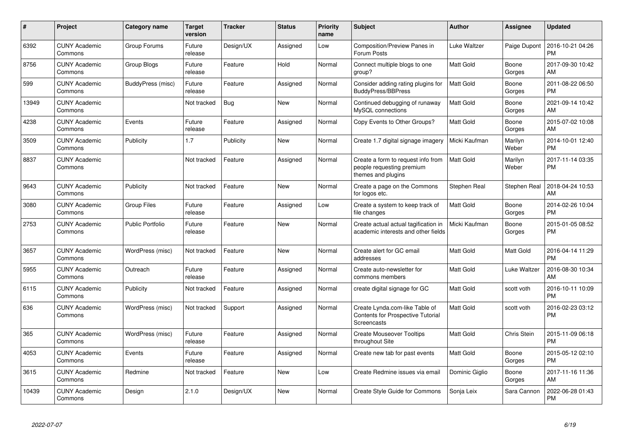| #     | <b>Project</b>                  | <b>Category name</b>    | <b>Target</b><br>version | <b>Tracker</b> | <b>Status</b> | <b>Priority</b><br>name | <b>Subject</b>                                                                                   | Author           | Assignee         | <b>Updated</b>                |
|-------|---------------------------------|-------------------------|--------------------------|----------------|---------------|-------------------------|--------------------------------------------------------------------------------------------------|------------------|------------------|-------------------------------|
| 6392  | <b>CUNY Academic</b><br>Commons | Group Forums            | Future<br>release        | Design/UX      | Assigned      | Low                     | Composition/Preview Panes in<br>Forum Posts                                                      | Luke Waltzer     | Paige Dupont     | 2016-10-21 04:26<br><b>PM</b> |
| 8756  | <b>CUNY Academic</b><br>Commons | Group Blogs             | Future<br>release        | Feature        | Hold          | Normal                  | Connect multiple blogs to one<br>group?                                                          | Matt Gold        | Boone<br>Gorges  | 2017-09-30 10:42<br>AM        |
| 599   | <b>CUNY Academic</b><br>Commons | BuddyPress (misc)       | Future<br>release        | Feature        | Assigned      | Normal                  | Consider adding rating plugins for<br><b>BuddyPress/BBPress</b>                                  | <b>Matt Gold</b> | Boone<br>Gorges  | 2011-08-22 06:50<br><b>PM</b> |
| 13949 | <b>CUNY Academic</b><br>Commons |                         | Not tracked              | <b>Bug</b>     | <b>New</b>    | Normal                  | Continued debugging of runaway<br>MySQL connections                                              | <b>Matt Gold</b> | Boone<br>Gorges  | 2021-09-14 10:42<br>AM        |
| 4238  | <b>CUNY Academic</b><br>Commons | Events                  | Future<br>release        | Feature        | Assigned      | Normal                  | Copy Events to Other Groups?                                                                     | <b>Matt Gold</b> | Boone<br>Gorges  | 2015-07-02 10:08<br>AM        |
| 3509  | <b>CUNY Academic</b><br>Commons | Publicity               | 1.7                      | Publicity      | New           | Normal                  | Create 1.7 digital signage imagery                                                               | Micki Kaufman    | Marilyn<br>Weber | 2014-10-01 12:40<br><b>PM</b> |
| 8837  | <b>CUNY Academic</b><br>Commons |                         | Not tracked              | Feature        | Assigned      | Normal                  | Create a form to request info from<br>people requesting premium<br>themes and plugins            | <b>Matt Gold</b> | Marilyn<br>Weber | 2017-11-14 03:35<br><b>PM</b> |
| 9643  | <b>CUNY Academic</b><br>Commons | Publicity               | Not tracked              | Feature        | <b>New</b>    | Normal                  | Create a page on the Commons<br>for logos etc.                                                   | Stephen Real     | Stephen Real     | 2018-04-24 10:53<br>AM        |
| 3080  | <b>CUNY Academic</b><br>Commons | <b>Group Files</b>      | Future<br>release        | Feature        | Assigned      | Low                     | Create a system to keep track of<br>file changes                                                 | <b>Matt Gold</b> | Boone<br>Gorges  | 2014-02-26 10:04<br><b>PM</b> |
| 2753  | <b>CUNY Academic</b><br>Commons | <b>Public Portfolio</b> | Future<br>release        | Feature        | <b>New</b>    | Normal                  | Create actual actual tagification in<br>academic interests and other fields                      | Micki Kaufman    | Boone<br>Gorges  | 2015-01-05 08:52<br><b>PM</b> |
| 3657  | <b>CUNY Academic</b><br>Commons | WordPress (misc)        | Not tracked              | Feature        | <b>New</b>    | Normal                  | Create alert for GC email<br>addresses                                                           | <b>Matt Gold</b> | Matt Gold        | 2016-04-14 11:29<br><b>PM</b> |
| 5955  | <b>CUNY Academic</b><br>Commons | Outreach                | Future<br>release        | Feature        | Assigned      | Normal                  | Create auto-newsletter for<br>commons members                                                    | <b>Matt Gold</b> | Luke Waltzer     | 2016-08-30 10:34<br>AM        |
| 6115  | <b>CUNY Academic</b><br>Commons | Publicity               | Not tracked              | Feature        | Assigned      | Normal                  | create digital signage for GC                                                                    | <b>Matt Gold</b> | scott voth       | 2016-10-11 10:09<br><b>PM</b> |
| 636   | <b>CUNY Academic</b><br>Commons | WordPress (misc)        | Not tracked              | Support        | Assigned      | Normal                  | Create Lynda.com-like Table of<br><b>Contents for Prospective Tutorial</b><br><b>Screencasts</b> | <b>Matt Gold</b> | scott voth       | 2016-02-23 03:12<br><b>PM</b> |
| 365   | <b>CUNY Academic</b><br>Commons | WordPress (misc)        | Future<br>release        | Feature        | Assigned      | Normal                  | <b>Create Mouseover Tooltips</b><br>throughout Site                                              | <b>Matt Gold</b> | Chris Stein      | 2015-11-09 06:18<br><b>PM</b> |
| 4053  | <b>CUNY Academic</b><br>Commons | Events                  | Future<br>release        | Feature        | Assigned      | Normal                  | Create new tab for past events                                                                   | <b>Matt Gold</b> | Boone<br>Gorges  | 2015-05-12 02:10<br><b>PM</b> |
| 3615  | <b>CUNY Academic</b><br>Commons | Redmine                 | Not tracked              | Feature        | <b>New</b>    | Low                     | Create Redmine issues via email                                                                  | Dominic Giglio   | Boone<br>Gorges  | 2017-11-16 11:36<br>AM        |
| 10439 | <b>CUNY Academic</b><br>Commons | Design                  | 2.1.0                    | Design/UX      | <b>New</b>    | Normal                  | Create Style Guide for Commons                                                                   | Sonja Leix       | Sara Cannon      | 2022-06-28 01:43<br>PM        |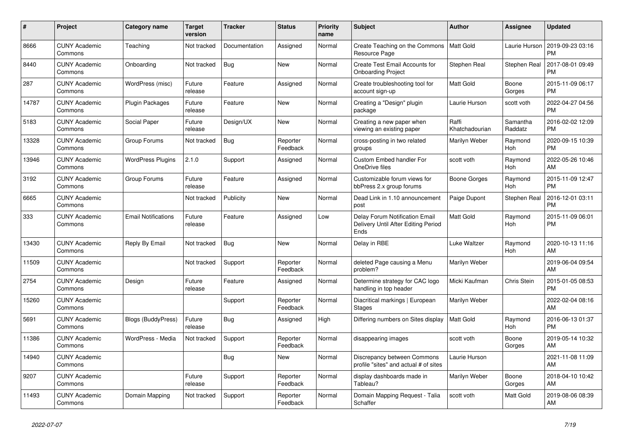| #     | <b>Project</b>                  | <b>Category name</b>       | <b>Target</b><br>version | <b>Tracker</b> | <b>Status</b>        | <b>Priority</b><br>name | <b>Subject</b>                                                                       | <b>Author</b>           | Assignee            | <b>Updated</b>                |
|-------|---------------------------------|----------------------------|--------------------------|----------------|----------------------|-------------------------|--------------------------------------------------------------------------------------|-------------------------|---------------------|-------------------------------|
| 8666  | <b>CUNY Academic</b><br>Commons | Teaching                   | Not tracked              | Documentation  | Assigned             | Normal                  | Create Teaching on the Commons<br>Resource Page                                      | Matt Gold               | Laurie Hurson       | 2019-09-23 03:16<br><b>PM</b> |
| 8440  | <b>CUNY Academic</b><br>Commons | Onboarding                 | Not tracked              | <b>Bug</b>     | <b>New</b>           | Normal                  | Create Test Email Accounts for<br><b>Onboarding Project</b>                          | Stephen Real            | Stephen Real        | 2017-08-01 09:49<br><b>PM</b> |
| 287   | <b>CUNY Academic</b><br>Commons | WordPress (misc)           | Future<br>release        | Feature        | Assigned             | Normal                  | Create troubleshooting tool for<br>account sign-up                                   | <b>Matt Gold</b>        | Boone<br>Gorges     | 2015-11-09 06:17<br><b>PM</b> |
| 14787 | <b>CUNY Academic</b><br>Commons | Plugin Packages            | Future<br>release        | Feature        | <b>New</b>           | Normal                  | Creating a "Design" plugin<br>package                                                | Laurie Hurson           | scott voth          | 2022-04-27 04:56<br><b>PM</b> |
| 5183  | <b>CUNY Academic</b><br>Commons | Social Paper               | Future<br>release        | Design/UX      | New                  | Normal                  | Creating a new paper when<br>viewing an existing paper                               | Raffi<br>Khatchadourian | Samantha<br>Raddatz | 2016-02-02 12:09<br><b>PM</b> |
| 13328 | <b>CUNY Academic</b><br>Commons | Group Forums               | Not tracked              | <b>Bug</b>     | Reporter<br>Feedback | Normal                  | cross-posting in two related<br>groups                                               | Marilyn Weber           | Raymond<br>Hoh      | 2020-09-15 10:39<br><b>PM</b> |
| 13946 | <b>CUNY Academic</b><br>Commons | <b>WordPress Plugins</b>   | 2.1.0                    | Support        | Assigned             | Normal                  | Custom Embed handler For<br>OneDrive files                                           | scott voth              | Raymond<br>Hoh      | 2022-05-26 10:46<br>AM        |
| 3192  | <b>CUNY Academic</b><br>Commons | Group Forums               | Future<br>release        | Feature        | Assigned             | Normal                  | Customizable forum views for<br>bbPress 2.x group forums                             | Boone Gorges            | Raymond<br>Hoh      | 2015-11-09 12:47<br><b>PM</b> |
| 6665  | <b>CUNY Academic</b><br>Commons |                            | Not tracked              | Publicity      | New                  | Normal                  | Dead Link in 1.10 announcement<br>post                                               | Paige Dupont            | Stephen Real        | 2016-12-01 03:11<br><b>PM</b> |
| 333   | <b>CUNY Academic</b><br>Commons | <b>Email Notifications</b> | Future<br>release        | Feature        | Assigned             | Low                     | <b>Delay Forum Notification Email</b><br>Delivery Until After Editing Period<br>Ends | <b>Matt Gold</b>        | Raymond<br>Hoh      | 2015-11-09 06:01<br><b>PM</b> |
| 13430 | <b>CUNY Academic</b><br>Commons | Reply By Email             | Not tracked              | Bug            | New                  | Normal                  | Delay in RBE                                                                         | Luke Waltzer            | Raymond<br>Hoh      | 2020-10-13 11:16<br>AM        |
| 11509 | <b>CUNY Academic</b><br>Commons |                            | Not tracked              | Support        | Reporter<br>Feedback | Normal                  | deleted Page causing a Menu<br>problem?                                              | Marilyn Weber           |                     | 2019-06-04 09:54<br>AM        |
| 2754  | <b>CUNY Academic</b><br>Commons | Design                     | Future<br>release        | Feature        | Assigned             | Normal                  | Determine strategy for CAC logo<br>handling in top header                            | Micki Kaufman           | Chris Stein         | 2015-01-05 08:53<br><b>PM</b> |
| 15260 | <b>CUNY Academic</b><br>Commons |                            |                          | Support        | Reporter<br>Feedback | Normal                  | Diacritical markings   European<br><b>Stages</b>                                     | Marilyn Weber           |                     | 2022-02-04 08:16<br>AM        |
| 5691  | <b>CUNY Academic</b><br>Commons | Blogs (BuddyPress)         | Future<br>release        | Bug            | Assigned             | High                    | Differing numbers on Sites display                                                   | <b>Matt Gold</b>        | Raymond<br>Hoh      | 2016-06-13 01:37<br><b>PM</b> |
| 11386 | <b>CUNY Academic</b><br>Commons | WordPress - Media          | Not tracked              | Support        | Reporter<br>Feedback | Normal                  | disappearing images                                                                  | scott voth              | Boone<br>Gorges     | 2019-05-14 10:32<br>AM        |
| 14940 | <b>CUNY Academic</b><br>Commons |                            |                          | Bug            | New                  | Normal                  | Discrepancy between Commons<br>profile "sites" and actual # of sites                 | Laurie Hurson           |                     | 2021-11-08 11:09<br>AM        |
| 9207  | <b>CUNY Academic</b><br>Commons |                            | Future<br>release        | Support        | Reporter<br>Feedback | Normal                  | display dashboards made in<br>Tableau?                                               | Marilyn Weber           | Boone<br>Gorges     | 2018-04-10 10:42<br>AM        |
| 11493 | <b>CUNY Academic</b><br>Commons | Domain Mapping             | Not tracked              | Support        | Reporter<br>Feedback | Normal                  | Domain Mapping Request - Talia<br>Schaffer                                           | scott voth              | Matt Gold           | 2019-08-06 08:39<br>AM        |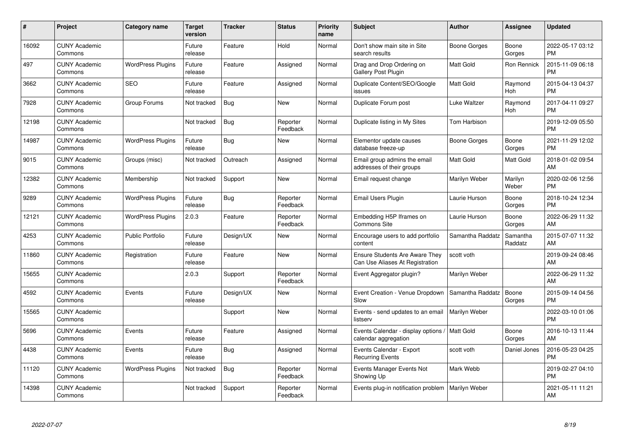| #     | <b>Project</b>                  | <b>Category name</b>     | <b>Target</b><br>version | <b>Tracker</b> | <b>Status</b>        | <b>Priority</b><br>name | <b>Subject</b>                                                           | Author           | Assignee            | <b>Updated</b>                |
|-------|---------------------------------|--------------------------|--------------------------|----------------|----------------------|-------------------------|--------------------------------------------------------------------------|------------------|---------------------|-------------------------------|
| 16092 | <b>CUNY Academic</b><br>Commons |                          | Future<br>release        | Feature        | Hold                 | Normal                  | Don't show main site in Site<br>search results                           | Boone Gorges     | Boone<br>Gorges     | 2022-05-17 03:12<br><b>PM</b> |
| 497   | <b>CUNY Academic</b><br>Commons | <b>WordPress Plugins</b> | Future<br>release        | Feature        | Assigned             | Normal                  | Drag and Drop Ordering on<br>Gallery Post Plugin                         | <b>Matt Gold</b> | Ron Rennick         | 2015-11-09 06:18<br><b>PM</b> |
| 3662  | <b>CUNY Academic</b><br>Commons | <b>SEO</b>               | Future<br>release        | Feature        | Assigned             | Normal                  | Duplicate Content/SEO/Google<br>issues                                   | <b>Matt Gold</b> | Raymond<br>Hoh      | 2015-04-13 04:37<br><b>PM</b> |
| 7928  | <b>CUNY Academic</b><br>Commons | Group Forums             | Not tracked              | Bug            | New                  | Normal                  | Duplicate Forum post                                                     | Luke Waltzer     | Raymond<br>Hoh      | 2017-04-11 09:27<br><b>PM</b> |
| 12198 | <b>CUNY Academic</b><br>Commons |                          | Not tracked              | <b>Bug</b>     | Reporter<br>Feedback | Normal                  | Duplicate listing in My Sites                                            | Tom Harbison     |                     | 2019-12-09 05:50<br><b>PM</b> |
| 14987 | <b>CUNY Academic</b><br>Commons | <b>WordPress Plugins</b> | Future<br>release        | Bug            | <b>New</b>           | Normal                  | Elementor update causes<br>database freeze-up                            | Boone Gorges     | Boone<br>Gorges     | 2021-11-29 12:02<br><b>PM</b> |
| 9015  | <b>CUNY Academic</b><br>Commons | Groups (misc)            | Not tracked              | Outreach       | Assigned             | Normal                  | Email group admins the email<br>addresses of their groups                | <b>Matt Gold</b> | Matt Gold           | 2018-01-02 09:54<br>AM        |
| 12382 | <b>CUNY Academic</b><br>Commons | Membership               | Not tracked              | Support        | <b>New</b>           | Normal                  | Email request change                                                     | Marilyn Weber    | Marilyn<br>Weber    | 2020-02-06 12:56<br><b>PM</b> |
| 9289  | <b>CUNY Academic</b><br>Commons | <b>WordPress Plugins</b> | Future<br>release        | Bug            | Reporter<br>Feedback | Normal                  | <b>Email Users Plugin</b>                                                | Laurie Hurson    | Boone<br>Gorges     | 2018-10-24 12:34<br><b>PM</b> |
| 12121 | <b>CUNY Academic</b><br>Commons | <b>WordPress Plugins</b> | 2.0.3                    | Feature        | Reporter<br>Feedback | Normal                  | Embedding H5P Iframes on<br><b>Commons Site</b>                          | Laurie Hurson    | Boone<br>Gorges     | 2022-06-29 11:32<br>AM        |
| 4253  | <b>CUNY Academic</b><br>Commons | Public Portfolio         | Future<br>release        | Design/UX      | New                  | Normal                  | Encourage users to add portfolio<br>content                              | Samantha Raddatz | Samantha<br>Raddatz | 2015-07-07 11:32<br>AM        |
| 11860 | <b>CUNY Academic</b><br>Commons | Registration             | Future<br>release        | Feature        | <b>New</b>           | Normal                  | <b>Ensure Students Are Aware They</b><br>Can Use Aliases At Registration | scott voth       |                     | 2019-09-24 08:46<br>AM        |
| 15655 | <b>CUNY Academic</b><br>Commons |                          | 2.0.3                    | Support        | Reporter<br>Feedback | Normal                  | Event Aggregator plugin?                                                 | Marilyn Weber    |                     | 2022-06-29 11:32<br>AM        |
| 4592  | <b>CUNY Academic</b><br>Commons | Events                   | Future<br>release        | Design/UX      | New                  | Normal                  | Event Creation - Venue Dropdown<br>Slow                                  | Samantha Raddatz | Boone<br>Gorges     | 2015-09-14 04:56<br><b>PM</b> |
| 15565 | <b>CUNY Academic</b><br>Commons |                          |                          | Support        | New                  | Normal                  | Events - send updates to an email<br>listserv                            | Marilyn Weber    |                     | 2022-03-10 01:06<br><b>PM</b> |
| 5696  | <b>CUNY Academic</b><br>Commons | Events                   | Future<br>release        | Feature        | Assigned             | Normal                  | Events Calendar - display options / Matt Gold<br>calendar aggregation    |                  | Boone<br>Gorges     | 2016-10-13 11:44<br>AM        |
| 4438  | <b>CUNY Academic</b><br>Commons | Events                   | Future<br>release        | Bug            | Assigned             | Normal                  | Events Calendar - Export<br><b>Recurring Events</b>                      | scott voth       | Daniel Jones        | 2016-05-23 04:25<br><b>PM</b> |
| 11120 | <b>CUNY Academic</b><br>Commons | <b>WordPress Plugins</b> | Not tracked              | Bug            | Reporter<br>Feedback | Normal                  | Events Manager Events Not<br>Showing Up                                  | Mark Webb        |                     | 2019-02-27 04:10<br><b>PM</b> |
| 14398 | <b>CUNY Academic</b><br>Commons |                          | Not tracked              | Support        | Reporter<br>Feedback | Normal                  | Events plug-in notification problem   Marilyn Weber                      |                  |                     | 2021-05-11 11:21<br>AM        |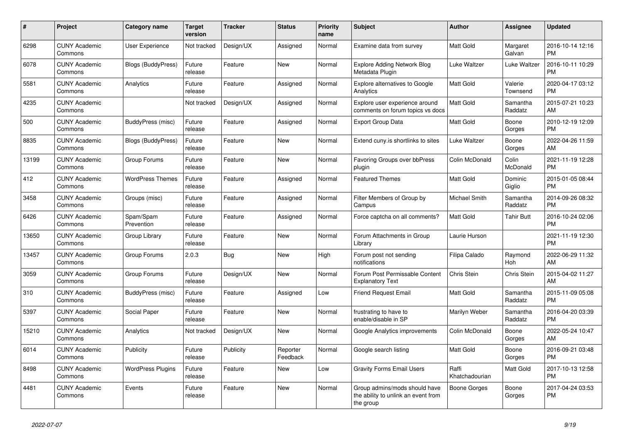| #     | <b>Project</b>                  | <b>Category name</b>      | <b>Target</b><br>version | <b>Tracker</b> | <b>Status</b>        | <b>Priority</b><br>name | <b>Subject</b>                                                                    | <b>Author</b>           | Assignee            | <b>Updated</b>                |
|-------|---------------------------------|---------------------------|--------------------------|----------------|----------------------|-------------------------|-----------------------------------------------------------------------------------|-------------------------|---------------------|-------------------------------|
| 6298  | <b>CUNY Academic</b><br>Commons | <b>User Experience</b>    | Not tracked              | Design/UX      | Assigned             | Normal                  | Examine data from survey                                                          | <b>Matt Gold</b>        | Margaret<br>Galvan  | 2016-10-14 12:16<br><b>PM</b> |
| 6078  | <b>CUNY Academic</b><br>Commons | <b>Blogs (BuddyPress)</b> | Future<br>release        | Feature        | New                  | Normal                  | <b>Explore Adding Network Blog</b><br>Metadata Plugin                             | Luke Waltzer            | Luke Waltzer        | 2016-10-11 10:29<br><b>PM</b> |
| 5581  | <b>CUNY Academic</b><br>Commons | Analytics                 | Future<br>release        | Feature        | Assigned             | Normal                  | <b>Explore alternatives to Google</b><br>Analytics                                | Matt Gold               | Valerie<br>Townsend | 2020-04-17 03:12<br><b>PM</b> |
| 4235  | <b>CUNY Academic</b><br>Commons |                           | Not tracked              | Design/UX      | Assigned             | Normal                  | Explore user experience around<br>comments on forum topics vs docs                | Matt Gold               | Samantha<br>Raddatz | 2015-07-21 10:23<br>AM        |
| 500   | <b>CUNY Academic</b><br>Commons | BuddyPress (misc)         | Future<br>release        | Feature        | Assigned             | Normal                  | <b>Export Group Data</b>                                                          | Matt Gold               | Boone<br>Gorges     | 2010-12-19 12:09<br><b>PM</b> |
| 8835  | <b>CUNY Academic</b><br>Commons | <b>Blogs (BuddyPress)</b> | Future<br>release        | Feature        | New                  | Normal                  | Extend cuny is shortlinks to sites                                                | Luke Waltzer            | Boone<br>Gorges     | 2022-04-26 11:59<br>AM        |
| 13199 | <b>CUNY Academic</b><br>Commons | Group Forums              | Future<br>release        | Feature        | <b>New</b>           | Normal                  | Favoring Groups over bbPress<br>plugin                                            | Colin McDonald          | Colin<br>McDonald   | 2021-11-19 12:28<br><b>PM</b> |
| 412   | <b>CUNY Academic</b><br>Commons | <b>WordPress Themes</b>   | Future<br>release        | Feature        | Assigned             | Normal                  | <b>Featured Themes</b>                                                            | Matt Gold               | Dominic<br>Giglio   | 2015-01-05 08:44<br><b>PM</b> |
| 3458  | <b>CUNY Academic</b><br>Commons | Groups (misc)             | Future<br>release        | Feature        | Assigned             | Normal                  | Filter Members of Group by<br>Campus                                              | Michael Smith           | Samantha<br>Raddatz | 2014-09-26 08:32<br><b>PM</b> |
| 6426  | <b>CUNY Academic</b><br>Commons | Spam/Spam<br>Prevention   | Future<br>release        | Feature        | Assigned             | Normal                  | Force captcha on all comments?                                                    | Matt Gold               | Tahir Butt          | 2016-10-24 02:06<br><b>PM</b> |
| 13650 | <b>CUNY Academic</b><br>Commons | Group Library             | Future<br>release        | Feature        | <b>New</b>           | Normal                  | Forum Attachments in Group<br>Library                                             | Laurie Hurson           |                     | 2021-11-19 12:30<br><b>PM</b> |
| 13457 | <b>CUNY Academic</b><br>Commons | Group Forums              | 2.0.3                    | <b>Bug</b>     | New                  | High                    | Forum post not sending<br>notifications                                           | Filipa Calado           | Raymond<br>Hoh      | 2022-06-29 11:32<br>AM        |
| 3059  | <b>CUNY Academic</b><br>Commons | Group Forums              | Future<br>release        | Design/UX      | <b>New</b>           | Normal                  | Forum Post Permissable Content<br><b>Explanatory Text</b>                         | Chris Stein             | Chris Stein         | 2015-04-02 11:27<br>AM        |
| 310   | <b>CUNY Academic</b><br>Commons | BuddyPress (misc)         | Future<br>release        | Feature        | Assigned             | Low                     | <b>Friend Request Email</b>                                                       | <b>Matt Gold</b>        | Samantha<br>Raddatz | 2015-11-09 05:08<br><b>PM</b> |
| 5397  | <b>CUNY Academic</b><br>Commons | Social Paper              | Future<br>release        | Feature        | New                  | Normal                  | frustrating to have to<br>enable/disable in SP                                    | Marilyn Weber           | Samantha<br>Raddatz | 2016-04-20 03:39<br><b>PM</b> |
| 15210 | <b>CUNY Academic</b><br>Commons | Analytics                 | Not tracked              | Design/UX      | <b>New</b>           | Normal                  | Google Analytics improvements                                                     | Colin McDonald          | Boone<br>Gorges     | 2022-05-24 10:47<br>AM        |
| 6014  | <b>CUNY Academic</b><br>Commons | Publicity                 | Future<br>release        | Publicity      | Reporter<br>Feedback | Normal                  | Google search listing                                                             | <b>Matt Gold</b>        | Boone<br>Gorges     | 2016-09-21 03:48<br><b>PM</b> |
| 8498  | <b>CUNY Academic</b><br>Commons | <b>WordPress Plugins</b>  | Future<br>release        | Feature        | <b>New</b>           | Low                     | <b>Gravity Forms Email Users</b>                                                  | Raffi<br>Khatchadourian | Matt Gold           | 2017-10-13 12:58<br><b>PM</b> |
| 4481  | <b>CUNY Academic</b><br>Commons | Events                    | Future<br>release        | Feature        | <b>New</b>           | Normal                  | Group admins/mods should have<br>the ability to unlink an event from<br>the group | <b>Boone Gorges</b>     | Boone<br>Gorges     | 2017-04-24 03:53<br><b>PM</b> |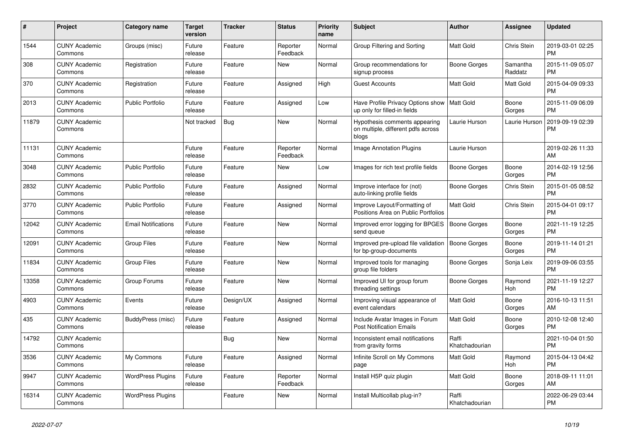| #     | <b>Project</b>                  | <b>Category name</b>       | <b>Target</b><br>version | <b>Tracker</b> | <b>Status</b>        | <b>Priority</b><br>name | <b>Subject</b>                                                                | Author                  | Assignee            | <b>Updated</b>                |
|-------|---------------------------------|----------------------------|--------------------------|----------------|----------------------|-------------------------|-------------------------------------------------------------------------------|-------------------------|---------------------|-------------------------------|
| 1544  | <b>CUNY Academic</b><br>Commons | Groups (misc)              | Future<br>release        | Feature        | Reporter<br>Feedback | Normal                  | Group Filtering and Sorting                                                   | <b>Matt Gold</b>        | Chris Stein         | 2019-03-01 02:25<br><b>PM</b> |
| 308   | <b>CUNY Academic</b><br>Commons | Registration               | Future<br>release        | Feature        | <b>New</b>           | Normal                  | Group recommendations for<br>signup process                                   | Boone Gorges            | Samantha<br>Raddatz | 2015-11-09 05:07<br><b>PM</b> |
| 370   | <b>CUNY Academic</b><br>Commons | Registration               | Future<br>release        | Feature        | Assigned             | High                    | <b>Guest Accounts</b>                                                         | <b>Matt Gold</b>        | Matt Gold           | 2015-04-09 09:33<br><b>PM</b> |
| 2013  | <b>CUNY Academic</b><br>Commons | <b>Public Portfolio</b>    | Future<br>release        | Feature        | Assigned             | Low                     | Have Profile Privacy Options show   Matt Gold<br>up only for filled-in fields |                         | Boone<br>Gorges     | 2015-11-09 06:09<br><b>PM</b> |
| 11879 | <b>CUNY Academic</b><br>Commons |                            | Not tracked              | Bug            | <b>New</b>           | Normal                  | Hypothesis comments appearing<br>on multiple, different pdfs across<br>blogs  | Laurie Hurson           | Laurie Hurson       | 2019-09-19 02:39<br><b>PM</b> |
| 11131 | <b>CUNY Academic</b><br>Commons |                            | Future<br>release        | Feature        | Reporter<br>Feedback | Normal                  | Image Annotation Plugins                                                      | Laurie Hurson           |                     | 2019-02-26 11:33<br>AM        |
| 3048  | <b>CUNY Academic</b><br>Commons | <b>Public Portfolio</b>    | Future<br>release        | Feature        | New                  | Low                     | Images for rich text profile fields                                           | <b>Boone Gorges</b>     | Boone<br>Gorges     | 2014-02-19 12:56<br><b>PM</b> |
| 2832  | <b>CUNY Academic</b><br>Commons | <b>Public Portfolio</b>    | Future<br>release        | Feature        | Assigned             | Normal                  | Improve interface for (not)<br>auto-linking profile fields                    | Boone Gorges            | Chris Stein         | 2015-01-05 08:52<br><b>PM</b> |
| 3770  | <b>CUNY Academic</b><br>Commons | <b>Public Portfolio</b>    | Future<br>release        | Feature        | Assigned             | Normal                  | Improve Layout/Formatting of<br>Positions Area on Public Portfolios           | <b>Matt Gold</b>        | <b>Chris Stein</b>  | 2015-04-01 09:17<br><b>PM</b> |
| 12042 | <b>CUNY Academic</b><br>Commons | <b>Email Notifications</b> | Future<br>release        | Feature        | <b>New</b>           | Normal                  | Improved error logging for BPGES<br>send queue                                | Boone Gorges            | Boone<br>Gorges     | 2021-11-19 12:25<br><b>PM</b> |
| 12091 | <b>CUNY Academic</b><br>Commons | <b>Group Files</b>         | Future<br>release        | Feature        | <b>New</b>           | Normal                  | Improved pre-upload file validation<br>for bp-group-documents                 | Boone Gorges            | Boone<br>Gorges     | 2019-11-14 01:21<br><b>PM</b> |
| 11834 | <b>CUNY Academic</b><br>Commons | <b>Group Files</b>         | Future<br>release        | Feature        | New                  | Normal                  | Improved tools for managing<br>group file folders                             | Boone Gorges            | Sonja Leix          | 2019-09-06 03:55<br><b>PM</b> |
| 13358 | <b>CUNY Academic</b><br>Commons | Group Forums               | Future<br>release        | Feature        | <b>New</b>           | Normal                  | Improved UI for group forum<br>threading settings                             | Boone Gorges            | Raymond<br>Hoh      | 2021-11-19 12:27<br><b>PM</b> |
| 4903  | <b>CUNY Academic</b><br>Commons | Events                     | Future<br>release        | Design/UX      | Assigned             | Normal                  | Improving visual appearance of<br>event calendars                             | <b>Matt Gold</b>        | Boone<br>Gorges     | 2016-10-13 11:51<br>AM        |
| 435   | <b>CUNY Academic</b><br>Commons | BuddyPress (misc)          | Future<br>release        | Feature        | Assigned             | Normal                  | Include Avatar Images in Forum<br><b>Post Notification Emails</b>             | <b>Matt Gold</b>        | Boone<br>Gorges     | 2010-12-08 12:40<br><b>PM</b> |
| 14792 | <b>CUNY Academic</b><br>Commons |                            |                          | Bug            | <b>New</b>           | Normal                  | Inconsistent email notifications<br>from gravity forms                        | Raffi<br>Khatchadourian |                     | 2021-10-04 01:50<br><b>PM</b> |
| 3536  | <b>CUNY Academic</b><br>Commons | My Commons                 | Future<br>release        | Feature        | Assigned             | Normal                  | Infinite Scroll on My Commons<br>page                                         | Matt Gold               | Raymond<br>Hoh      | 2015-04-13 04:42<br><b>PM</b> |
| 9947  | <b>CUNY Academic</b><br>Commons | <b>WordPress Plugins</b>   | Future<br>release        | Feature        | Reporter<br>Feedback | Normal                  | Install H5P quiz plugin                                                       | <b>Matt Gold</b>        | Boone<br>Gorges     | 2018-09-11 11:01<br>AM        |
| 16314 | <b>CUNY Academic</b><br>Commons | <b>WordPress Plugins</b>   |                          | Feature        | <b>New</b>           | Normal                  | Install Multicollab plug-in?                                                  | Raffi<br>Khatchadourian |                     | 2022-06-29 03:44<br><b>PM</b> |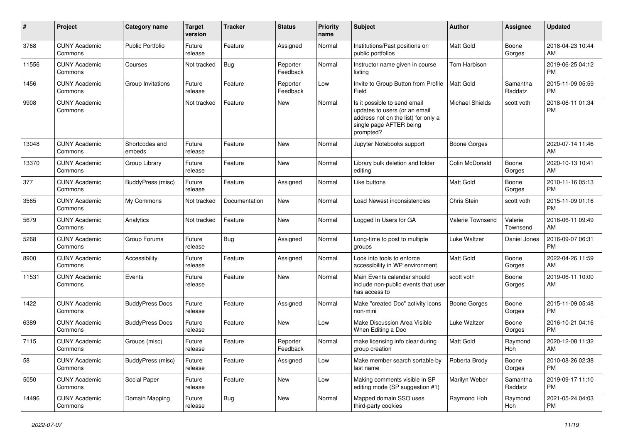| #     | Project                         | <b>Category name</b>     | <b>Target</b><br>version | <b>Tracker</b> | <b>Status</b>        | <b>Priority</b><br>name | <b>Subject</b>                                                                                                                               | Author                 | <b>Assignee</b>     | <b>Updated</b>                |
|-------|---------------------------------|--------------------------|--------------------------|----------------|----------------------|-------------------------|----------------------------------------------------------------------------------------------------------------------------------------------|------------------------|---------------------|-------------------------------|
| 3768  | <b>CUNY Academic</b><br>Commons | <b>Public Portfolio</b>  | Future<br>release        | Feature        | Assigned             | Normal                  | Institutions/Past positions on<br>public portfolios                                                                                          | <b>Matt Gold</b>       | Boone<br>Gorges     | 2018-04-23 10:44<br>AM        |
| 11556 | <b>CUNY Academic</b><br>Commons | Courses                  | Not tracked              | Bug            | Reporter<br>Feedback | Normal                  | Instructor name given in course<br>listing                                                                                                   | Tom Harbison           |                     | 2019-06-25 04:12<br><b>PM</b> |
| 1456  | <b>CUNY Academic</b><br>Commons | Group Invitations        | Future<br>release        | Feature        | Reporter<br>Feedback | Low                     | Invite to Group Button from Profile<br>Field                                                                                                 | <b>Matt Gold</b>       | Samantha<br>Raddatz | 2015-11-09 05:59<br><b>PM</b> |
| 9908  | <b>CUNY Academic</b><br>Commons |                          | Not tracked              | Feature        | New                  | Normal                  | Is it possible to send email<br>updates to users (or an email<br>address not on the list) for only a<br>single page AFTER being<br>prompted? | <b>Michael Shields</b> | scott voth          | 2018-06-11 01:34<br><b>PM</b> |
| 13048 | <b>CUNY Academic</b><br>Commons | Shortcodes and<br>embeds | Future<br>release        | Feature        | New                  | Normal                  | Jupyter Notebooks support                                                                                                                    | <b>Boone Gorges</b>    |                     | 2020-07-14 11:46<br>AM        |
| 13370 | <b>CUNY Academic</b><br>Commons | Group Library            | Future<br>release        | Feature        | New                  | Normal                  | Library bulk deletion and folder<br>editing                                                                                                  | Colin McDonald         | Boone<br>Gorges     | 2020-10-13 10:41<br>AM        |
| 377   | <b>CUNY Academic</b><br>Commons | BuddyPress (misc)        | Future<br>release        | Feature        | Assigned             | Normal                  | Like buttons                                                                                                                                 | <b>Matt Gold</b>       | Boone<br>Gorges     | 2010-11-16 05:13<br><b>PM</b> |
| 3565  | <b>CUNY Academic</b><br>Commons | My Commons               | Not tracked              | Documentation  | <b>New</b>           | Normal                  | Load Newest inconsistencies                                                                                                                  | Chris Stein            | scott voth          | 2015-11-09 01:16<br><b>PM</b> |
| 5679  | <b>CUNY Academic</b><br>Commons | Analytics                | Not tracked              | Feature        | New                  | Normal                  | Logged In Users for GA                                                                                                                       | Valerie Townsend       | Valerie<br>Townsend | 2016-06-11 09:49<br>AM        |
| 5268  | <b>CUNY Academic</b><br>Commons | Group Forums             | Future<br>release        | Bug            | Assigned             | Normal                  | Long-time to post to multiple<br>groups                                                                                                      | Luke Waltzer           | Daniel Jones        | 2016-09-07 06:31<br><b>PM</b> |
| 8900  | <b>CUNY Academic</b><br>Commons | Accessibility            | Future<br>release        | Feature        | Assigned             | Normal                  | Look into tools to enforce<br>accessibility in WP environment                                                                                | <b>Matt Gold</b>       | Boone<br>Gorges     | 2022-04-26 11:59<br>AM        |
| 11531 | <b>CUNY Academic</b><br>Commons | Events                   | Future<br>release        | Feature        | New                  | Normal                  | Main Events calendar should<br>include non-public events that user<br>has access to                                                          | scott voth             | Boone<br>Gorges     | 2019-06-11 10:00<br>AM        |
| 1422  | <b>CUNY Academic</b><br>Commons | <b>BuddyPress Docs</b>   | Future<br>release        | Feature        | Assigned             | Normal                  | Make "created Doc" activity icons<br>non-mini                                                                                                | Boone Gorges           | Boone<br>Gorges     | 2015-11-09 05:48<br><b>PM</b> |
| 6389  | <b>CUNY Academic</b><br>Commons | <b>BuddyPress Docs</b>   | Future<br>release        | Feature        | New                  | Low                     | Make Discussion Area Visible<br>When Editing a Doc                                                                                           | Luke Waltzer           | Boone<br>Gorges     | 2016-10-21 04:16<br><b>PM</b> |
| 7115  | <b>CUNY Academic</b><br>Commons | Groups (misc)            | Future<br>release        | Feature        | Reporter<br>Feedback | Normal                  | make licensing info clear during<br>group creation                                                                                           | <b>Matt Gold</b>       | Raymond<br>Hoh      | 2020-12-08 11:32<br>AM        |
| 58    | <b>CUNY Academic</b><br>Commons | BuddyPress (misc)        | Future<br>release        | Feature        | Assigned             | Low                     | Make member search sortable by<br>last name                                                                                                  | Roberta Brody          | Boone<br>Gorges     | 2010-08-26 02:38<br><b>PM</b> |
| 5050  | <b>CUNY Academic</b><br>Commons | Social Paper             | Future<br>release        | Feature        | New                  | Low                     | Making comments visible in SP<br>editing mode (SP suggestion #1)                                                                             | Marilyn Weber          | Samantha<br>Raddatz | 2019-09-17 11:10<br><b>PM</b> |
| 14496 | <b>CUNY Academic</b><br>Commons | Domain Mapping           | Future<br>release        | <b>Bug</b>     | New                  | Normal                  | Mapped domain SSO uses<br>third-party cookies                                                                                                | Raymond Hoh            | Raymond<br>Hoh      | 2021-05-24 04:03<br><b>PM</b> |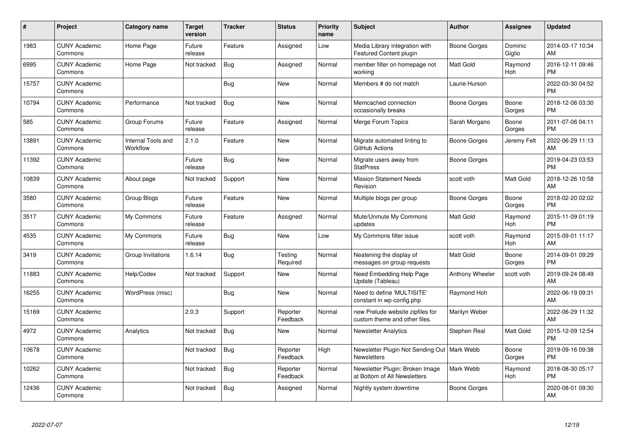| #     | Project                         | Category name                  | <b>Target</b><br>version | <b>Tracker</b> | <b>Status</b>        | <b>Priority</b><br>name | <b>Subject</b>                                                      | Author           | <b>Assignee</b>   | <b>Updated</b>                |
|-------|---------------------------------|--------------------------------|--------------------------|----------------|----------------------|-------------------------|---------------------------------------------------------------------|------------------|-------------------|-------------------------------|
| 1983  | <b>CUNY Academic</b><br>Commons | Home Page                      | Future<br>release        | Feature        | Assigned             | Low                     | Media Library integration with<br>Featured Content plugin           | Boone Gorges     | Dominic<br>Giglio | 2014-03-17 10:34<br>AM        |
| 6995  | <b>CUNY Academic</b><br>Commons | Home Page                      | Not tracked              | Bug            | Assigned             | Normal                  | member filter on homepage not<br>working                            | <b>Matt Gold</b> | Raymond<br>Hoh    | 2016-12-11 09:46<br><b>PM</b> |
| 15757 | <b>CUNY Academic</b><br>Commons |                                |                          | <b>Bug</b>     | <b>New</b>           | Normal                  | Members # do not match                                              | Laurie Hurson    |                   | 2022-03-30 04:52<br><b>PM</b> |
| 10794 | <b>CUNY Academic</b><br>Commons | Performance                    | Not tracked              | Bug            | New                  | Normal                  | Memcached connection<br>occasionally breaks                         | Boone Gorges     | Boone<br>Gorges   | 2018-12-06 03:30<br><b>PM</b> |
| 585   | <b>CUNY Academic</b><br>Commons | Group Forums                   | Future<br>release        | Feature        | Assigned             | Normal                  | Merge Forum Topics                                                  | Sarah Morgano    | Boone<br>Gorges   | 2011-07-06 04:11<br><b>PM</b> |
| 13891 | <b>CUNY Academic</b><br>Commons | Internal Tools and<br>Workflow | 2.1.0                    | Feature        | <b>New</b>           | Normal                  | Migrate automated linting to<br>GitHub Actions                      | Boone Gorges     | Jeremy Felt       | 2022-06-29 11:13<br>AM        |
| 11392 | <b>CUNY Academic</b><br>Commons |                                | Future<br>release        | Bug            | <b>New</b>           | Normal                  | Migrate users away from<br><b>StatPress</b>                         | Boone Gorges     |                   | 2019-04-23 03:53<br><b>PM</b> |
| 10839 | <b>CUNY Academic</b><br>Commons | About page                     | Not tracked              | Support        | New                  | Normal                  | <b>Mission Statement Needs</b><br>Revision                          | scott voth       | Matt Gold         | 2018-12-26 10:58<br>AM        |
| 3580  | <b>CUNY Academic</b><br>Commons | Group Blogs                    | Future<br>release        | Feature        | <b>New</b>           | Normal                  | Multiple blogs per group                                            | Boone Gorges     | Boone<br>Gorges   | 2018-02-20 02:02<br><b>PM</b> |
| 3517  | <b>CUNY Academic</b><br>Commons | My Commons                     | Future<br>release        | Feature        | Assigned             | Normal                  | Mute/Unmute My Commons<br>updates                                   | <b>Matt Gold</b> | Raymond<br>Hoh    | 2015-11-09 01:19<br><b>PM</b> |
| 4535  | <b>CUNY Academic</b><br>Commons | My Commons                     | Future<br>release        | <b>Bug</b>     | New                  | Low                     | My Commons filter issue                                             | scott voth       | Raymond<br>Hoh    | 2015-09-01 11:17<br>AM        |
| 3419  | <b>CUNY Academic</b><br>Commons | Group Invitations              | 1.6.14                   | Bug            | Testing<br>Required  | Normal                  | Neatening the display of<br>messages on group requests              | <b>Matt Gold</b> | Boone<br>Gorges   | 2014-09-01 09:29<br><b>PM</b> |
| 11883 | <b>CUNY Academic</b><br>Commons | Help/Codex                     | Not tracked              | Support        | <b>New</b>           | Normal                  | Need Embedding Help Page<br>Update (Tableau)                        | Anthony Wheeler  | scott voth        | 2019-09-24 08:49<br>AM        |
| 16255 | <b>CUNY Academic</b><br>Commons | WordPress (misc)               |                          | Bug            | <b>New</b>           | Normal                  | Need to define 'MULTISITE'<br>constant in wp-config.php             | Raymond Hoh      |                   | 2022-06-19 09:31<br>AM        |
| 15169 | <b>CUNY Academic</b><br>Commons |                                | 2.0.3                    | Support        | Reporter<br>Feedback | Normal                  | new Prelude website zipfiles for<br>custom theme and other files.   | Marilyn Weber    |                   | 2022-06-29 11:32<br>AM        |
| 4972  | <b>CUNY Academic</b><br>Commons | Analytics                      | Not tracked              | Bug            | New                  | Normal                  | <b>Newsletter Analytics</b>                                         | Stephen Real     | Matt Gold         | 2015-12-09 12:54<br><b>PM</b> |
| 10678 | <b>CUNY Academic</b><br>Commons |                                | Not tracked              | <b>Bug</b>     | Reporter<br>Feedback | High                    | Newsletter Plugin Not Sending Out   Mark Webb<br><b>Newsletters</b> |                  | Boone<br>Gorges   | 2019-09-16 09:38<br><b>PM</b> |
| 10262 | <b>CUNY Academic</b><br>Commons |                                | Not tracked              | Bug            | Reporter<br>Feedback | Normal                  | Newsletter Plugin: Broken Image<br>at Bottom of All Newsletters     | Mark Webb        | Raymond<br>Hoh    | 2018-08-30 05:17<br><b>PM</b> |
| 12436 | <b>CUNY Academic</b><br>Commons |                                | Not tracked              | Bug            | Assigned             | Normal                  | Nightly system downtime                                             | Boone Gorges     |                   | 2020-08-01 09:30<br>AM        |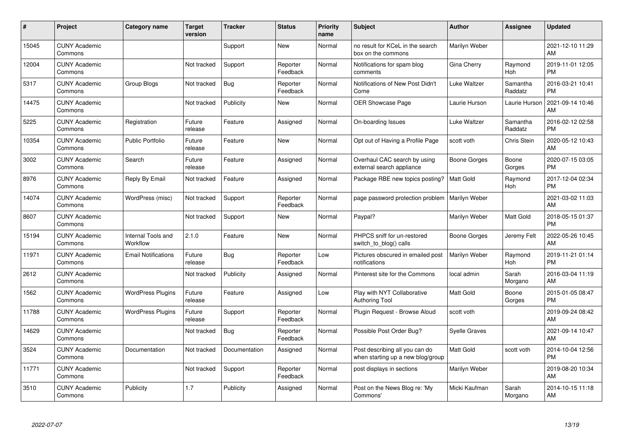| #     | Project                         | <b>Category name</b>           | <b>Target</b><br>version | <b>Tracker</b> | <b>Status</b>        | <b>Priority</b><br>name | <b>Subject</b>                                                      | <b>Author</b>        | <b>Assignee</b>     | <b>Updated</b>                |
|-------|---------------------------------|--------------------------------|--------------------------|----------------|----------------------|-------------------------|---------------------------------------------------------------------|----------------------|---------------------|-------------------------------|
| 15045 | <b>CUNY Academic</b><br>Commons |                                |                          | Support        | <b>New</b>           | Normal                  | no result for KCeL in the search<br>box on the commons              | Marilyn Weber        |                     | 2021-12-10 11:29<br>AM        |
| 12004 | <b>CUNY Academic</b><br>Commons |                                | Not tracked              | Support        | Reporter<br>Feedback | Normal                  | Notifications for spam blog<br>comments                             | Gina Cherry          | Raymond<br>Hoh      | 2019-11-01 12:05<br><b>PM</b> |
| 5317  | <b>CUNY Academic</b><br>Commons | Group Blogs                    | Not tracked              | <b>Bug</b>     | Reporter<br>Feedback | Normal                  | Notifications of New Post Didn't<br>Come                            | Luke Waltzer         | Samantha<br>Raddatz | 2016-03-21 10:41<br><b>PM</b> |
| 14475 | <b>CUNY Academic</b><br>Commons |                                | Not tracked              | Publicity      | <b>New</b>           | Normal                  | <b>OER Showcase Page</b>                                            | Laurie Hurson        | Laurie Hurson       | 2021-09-14 10:46<br>AM        |
| 5225  | <b>CUNY Academic</b><br>Commons | Registration                   | Future<br>release        | Feature        | Assigned             | Normal                  | On-boarding Issues                                                  | Luke Waltzer         | Samantha<br>Raddatz | 2016-02-12 02:58<br><b>PM</b> |
| 10354 | <b>CUNY Academic</b><br>Commons | <b>Public Portfolio</b>        | Future<br>release        | Feature        | <b>New</b>           | Normal                  | Opt out of Having a Profile Page                                    | scott voth           | Chris Stein         | 2020-05-12 10:43<br>AM        |
| 3002  | <b>CUNY Academic</b><br>Commons | Search                         | Future<br>release        | Feature        | Assigned             | Normal                  | Overhaul CAC search by using<br>external search appliance           | Boone Gorges         | Boone<br>Gorges     | 2020-07-15 03:05<br><b>PM</b> |
| 8976  | <b>CUNY Academic</b><br>Commons | Reply By Email                 | Not tracked              | Feature        | Assigned             | Normal                  | Package RBE new topics posting?                                     | <b>Matt Gold</b>     | Raymond<br>Hoh      | 2017-12-04 02:34<br><b>PM</b> |
| 14074 | <b>CUNY Academic</b><br>Commons | WordPress (misc)               | Not tracked              | Support        | Reporter<br>Feedback | Normal                  | page password protection problem   Marilyn Weber                    |                      |                     | 2021-03-02 11:03<br>AM        |
| 8607  | <b>CUNY Academic</b><br>Commons |                                | Not tracked              | Support        | New                  | Normal                  | Paypal?                                                             | Marilyn Weber        | Matt Gold           | 2018-05-15 01:37<br><b>PM</b> |
| 15194 | <b>CUNY Academic</b><br>Commons | Internal Tools and<br>Workflow | 2.1.0                    | Feature        | New                  | Normal                  | PHPCS sniff for un-restored<br>switch to blog() calls               | Boone Gorges         | Jeremy Felt         | 2022-05-26 10:45<br>AM        |
| 11971 | <b>CUNY Academic</b><br>Commons | <b>Email Notifications</b>     | Future<br>release        | <b>Bug</b>     | Reporter<br>Feedback | Low                     | Pictures obscured in emailed post<br>notifications                  | Marilyn Weber        | Raymond<br>Hoh      | 2019-11-21 01:14<br><b>PM</b> |
| 2612  | <b>CUNY Academic</b><br>Commons |                                | Not tracked              | Publicity      | Assigned             | Normal                  | Pinterest site for the Commons                                      | local admin          | Sarah<br>Morgano    | 2016-03-04 11:19<br>AM        |
| 1562  | <b>CUNY Academic</b><br>Commons | <b>WordPress Plugins</b>       | Future<br>release        | Feature        | Assigned             | Low                     | Play with NYT Collaborative<br><b>Authoring Tool</b>                | <b>Matt Gold</b>     | Boone<br>Gorges     | 2015-01-05 08:47<br><b>PM</b> |
| 11788 | <b>CUNY Academic</b><br>Commons | <b>WordPress Plugins</b>       | Future<br>release        | Support        | Reporter<br>Feedback | Normal                  | Plugin Request - Browse Aloud                                       | scott voth           |                     | 2019-09-24 08:42<br>AM        |
| 14629 | <b>CUNY Academic</b><br>Commons |                                | Not tracked              | Bug            | Reporter<br>Feedback | Normal                  | Possible Post Order Bug?                                            | <b>Syelle Graves</b> |                     | 2021-09-14 10:47<br>AM        |
| 3524  | <b>CUNY Academic</b><br>Commons | Documentation                  | Not tracked              | Documentation  | Assigned             | Normal                  | Post describing all you can do<br>when starting up a new blog/group | <b>Matt Gold</b>     | scott voth          | 2014-10-04 12:56<br><b>PM</b> |
| 11771 | <b>CUNY Academic</b><br>Commons |                                | Not tracked              | Support        | Reporter<br>Feedback | Normal                  | post displays in sections                                           | Marilyn Weber        |                     | 2019-08-20 10:34<br>AM        |
| 3510  | <b>CUNY Academic</b><br>Commons | Publicity                      | 1.7                      | Publicity      | Assigned             | Normal                  | Post on the News Blog re: 'My<br>Commons'                           | Micki Kaufman        | Sarah<br>Morgano    | 2014-10-15 11:18<br>AM        |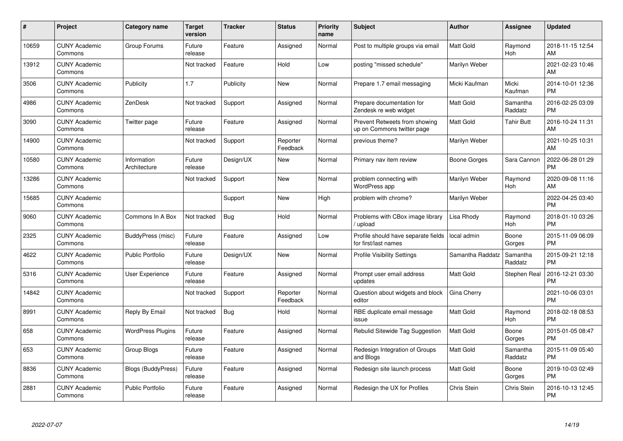| $\#$  | Project                         | <b>Category name</b>        | <b>Target</b><br>version | <b>Tracker</b> | <b>Status</b>        | <b>Priority</b><br>name | <b>Subject</b>                                              | <b>Author</b>    | <b>Assignee</b>     | <b>Updated</b>                |
|-------|---------------------------------|-----------------------------|--------------------------|----------------|----------------------|-------------------------|-------------------------------------------------------------|------------------|---------------------|-------------------------------|
| 10659 | <b>CUNY Academic</b><br>Commons | Group Forums                | Future<br>release        | Feature        | Assigned             | Normal                  | Post to multiple groups via email                           | <b>Matt Gold</b> | Raymond<br>Hoh      | 2018-11-15 12:54<br>AM        |
| 13912 | <b>CUNY Academic</b><br>Commons |                             | Not tracked              | Feature        | Hold                 | Low                     | posting "missed schedule"                                   | Marilyn Weber    |                     | 2021-02-23 10:46<br>AM        |
| 3506  | <b>CUNY Academic</b><br>Commons | Publicity                   | 1.7                      | Publicity      | New                  | Normal                  | Prepare 1.7 email messaging                                 | Micki Kaufman    | Micki<br>Kaufman    | 2014-10-01 12:36<br><b>PM</b> |
| 4986  | <b>CUNY Academic</b><br>Commons | ZenDesk                     | Not tracked              | Support        | Assigned             | Normal                  | Prepare documentation for<br>Zendesk re web widget          | <b>Matt Gold</b> | Samantha<br>Raddatz | 2016-02-25 03:09<br><b>PM</b> |
| 3090  | <b>CUNY Academic</b><br>Commons | Twitter page                | Future<br>release        | Feature        | Assigned             | Normal                  | Prevent Retweets from showing<br>up on Commons twitter page | <b>Matt Gold</b> | <b>Tahir Butt</b>   | 2016-10-24 11:31<br>AM        |
| 14900 | <b>CUNY Academic</b><br>Commons |                             | Not tracked              | Support        | Reporter<br>Feedback | Normal                  | previous theme?                                             | Marilyn Weber    |                     | 2021-10-25 10:31<br>AM        |
| 10580 | <b>CUNY Academic</b><br>Commons | Information<br>Architecture | Future<br>release        | Design/UX      | New                  | Normal                  | Primary nav item review                                     | Boone Gorges     | Sara Cannon         | 2022-06-28 01:29<br><b>PM</b> |
| 13286 | <b>CUNY Academic</b><br>Commons |                             | Not tracked              | Support        | <b>New</b>           | Normal                  | problem connecting with<br>WordPress app                    | Marilyn Weber    | Raymond<br>Hoh      | 2020-09-08 11:16<br>AM        |
| 15685 | <b>CUNY Academic</b><br>Commons |                             |                          | Support        | New                  | High                    | problem with chrome?                                        | Marilyn Weber    |                     | 2022-04-25 03:40<br><b>PM</b> |
| 9060  | <b>CUNY Academic</b><br>Commons | Commons In A Box            | Not tracked              | Bug            | Hold                 | Normal                  | Problems with CBox image library<br>upload                  | Lisa Rhody       | Raymond<br>Hoh      | 2018-01-10 03:26<br><b>PM</b> |
| 2325  | <b>CUNY Academic</b><br>Commons | BuddyPress (misc)           | Future<br>release        | Feature        | Assigned             | Low                     | Profile should have separate fields<br>for first/last names | local admin      | Boone<br>Gorges     | 2015-11-09 06:09<br><b>PM</b> |
| 4622  | <b>CUNY Academic</b><br>Commons | <b>Public Portfolio</b>     | Future<br>release        | Design/UX      | New                  | Normal                  | <b>Profile Visibility Settings</b>                          | Samantha Raddatz | Samantha<br>Raddatz | 2015-09-21 12:18<br><b>PM</b> |
| 5316  | <b>CUNY Academic</b><br>Commons | User Experience             | Future<br>release        | Feature        | Assigned             | Normal                  | Prompt user email address<br>updates                        | <b>Matt Gold</b> | Stephen Real        | 2016-12-21 03:30<br><b>PM</b> |
| 14842 | <b>CUNY Academic</b><br>Commons |                             | Not tracked              | Support        | Reporter<br>Feedback | Normal                  | Question about widgets and block<br>editor                  | Gina Cherry      |                     | 2021-10-06 03:01<br><b>PM</b> |
| 8991  | <b>CUNY Academic</b><br>Commons | Reply By Email              | Not tracked              | <b>Bug</b>     | Hold                 | Normal                  | RBE duplicate email message<br>issue                        | <b>Matt Gold</b> | Raymond<br>Hoh      | 2018-02-18 08:53<br><b>PM</b> |
| 658   | <b>CUNY Academic</b><br>Commons | <b>WordPress Plugins</b>    | Future<br>release        | Feature        | Assigned             | Normal                  | Rebulid Sitewide Tag Suggestion                             | <b>Matt Gold</b> | Boone<br>Gorges     | 2015-01-05 08:47<br><b>PM</b> |
| 653   | <b>CUNY Academic</b><br>Commons | Group Blogs                 | Future<br>release        | Feature        | Assigned             | Normal                  | Redesign Integration of Groups<br>and Blogs                 | <b>Matt Gold</b> | Samantha<br>Raddatz | 2015-11-09 05:40<br><b>PM</b> |
| 8836  | <b>CUNY Academic</b><br>Commons | <b>Blogs (BuddyPress)</b>   | Future<br>release        | Feature        | Assigned             | Normal                  | Redesign site launch process                                | <b>Matt Gold</b> | Boone<br>Gorges     | 2019-10-03 02:49<br><b>PM</b> |
| 2881  | CUNY Academic<br>Commons        | <b>Public Portfolio</b>     | Future<br>release        | Feature        | Assigned             | Normal                  | Redesign the UX for Profiles                                | Chris Stein      | Chris Stein         | 2016-10-13 12:45<br><b>PM</b> |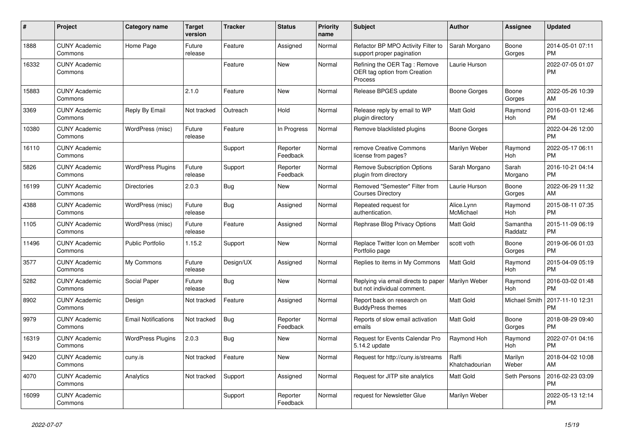| $\vert$ # | <b>Project</b>                  | Category name              | <b>Target</b><br>version | <b>Tracker</b> | <b>Status</b>        | Priority<br>name | <b>Subject</b>                                                          | <b>Author</b>           | Assignee            | <b>Updated</b>                |
|-----------|---------------------------------|----------------------------|--------------------------|----------------|----------------------|------------------|-------------------------------------------------------------------------|-------------------------|---------------------|-------------------------------|
| 1888      | <b>CUNY Academic</b><br>Commons | Home Page                  | Future<br>release        | Feature        | Assigned             | Normal           | Refactor BP MPO Activity Filter to<br>support proper pagination         | Sarah Morgano           | Boone<br>Gorges     | 2014-05-01 07:11<br><b>PM</b> |
| 16332     | <b>CUNY Academic</b><br>Commons |                            |                          | Feature        | New                  | Normal           | Refining the OER Tag: Remove<br>OER tag option from Creation<br>Process | Laurie Hurson           |                     | 2022-07-05 01:07<br><b>PM</b> |
| 15883     | <b>CUNY Academic</b><br>Commons |                            | 2.1.0                    | Feature        | <b>New</b>           | Normal           | Release BPGES update                                                    | Boone Gorges            | Boone<br>Gorges     | 2022-05-26 10:39<br>AM        |
| 3369      | <b>CUNY Academic</b><br>Commons | Reply By Email             | Not tracked              | Outreach       | Hold                 | Normal           | Release reply by email to WP<br>plugin directory                        | <b>Matt Gold</b>        | Raymond<br>Hoh      | 2016-03-01 12:46<br><b>PM</b> |
| 10380     | <b>CUNY Academic</b><br>Commons | WordPress (misc)           | Future<br>release        | Feature        | In Progress          | Normal           | Remove blacklisted plugins                                              | Boone Gorges            |                     | 2022-04-26 12:00<br><b>PM</b> |
| 16110     | <b>CUNY Academic</b><br>Commons |                            |                          | Support        | Reporter<br>Feedback | Normal           | remove Creative Commons<br>license from pages?                          | Marilyn Weber           | Raymond<br>Hoh      | 2022-05-17 06:11<br><b>PM</b> |
| 5826      | <b>CUNY Academic</b><br>Commons | <b>WordPress Plugins</b>   | Future<br>release        | Support        | Reporter<br>Feedback | Normal           | <b>Remove Subscription Options</b><br>plugin from directory             | Sarah Morgano           | Sarah<br>Morgano    | 2016-10-21 04:14<br><b>PM</b> |
| 16199     | <b>CUNY Academic</b><br>Commons | <b>Directories</b>         | 2.0.3                    | <b>Bug</b>     | New                  | Normal           | Removed "Semester" Filter from<br><b>Courses Directory</b>              | Laurie Hurson           | Boone<br>Gorges     | 2022-06-29 11:32<br>AM        |
| 4388      | <b>CUNY Academic</b><br>Commons | WordPress (misc)           | Future<br>release        | <b>Bug</b>     | Assigned             | Normal           | Repeated request for<br>authentication.                                 | Alice.Lynn<br>McMichael | Raymond<br>Hoh      | 2015-08-11 07:35<br><b>PM</b> |
| 1105      | <b>CUNY Academic</b><br>Commons | WordPress (misc)           | Future<br>release        | Feature        | Assigned             | Normal           | Rephrase Blog Privacy Options                                           | <b>Matt Gold</b>        | Samantha<br>Raddatz | 2015-11-09 06:19<br><b>PM</b> |
| 11496     | <b>CUNY Academic</b><br>Commons | <b>Public Portfolio</b>    | 1.15.2                   | Support        | New                  | Normal           | Replace Twitter Icon on Member<br>Portfolio page                        | scott voth              | Boone<br>Gorges     | 2019-06-06 01:03<br><b>PM</b> |
| 3577      | <b>CUNY Academic</b><br>Commons | My Commons                 | Future<br>release        | Design/UX      | Assigned             | Normal           | Replies to items in My Commons                                          | <b>Matt Gold</b>        | Raymond<br>Hoh      | 2015-04-09 05:19<br><b>PM</b> |
| 5282      | <b>CUNY Academic</b><br>Commons | Social Paper               | Future<br>release        | <b>Bug</b>     | <b>New</b>           | Normal           | Replying via email directs to paper<br>but not individual comment.      | Marilyn Weber           | Raymond<br>Hoh      | 2016-03-02 01:48<br><b>PM</b> |
| 8902      | <b>CUNY Academic</b><br>Commons | Design                     | Not tracked              | Feature        | Assigned             | Normal           | Report back on research on<br><b>BuddyPress themes</b>                  | <b>Matt Gold</b>        | Michael Smith       | 2017-11-10 12:31<br><b>PM</b> |
| 9979      | <b>CUNY Academic</b><br>Commons | <b>Email Notifications</b> | Not tracked              | Bug            | Reporter<br>Feedback | Normal           | Reports of slow email activation<br>emails                              | <b>Matt Gold</b>        | Boone<br>Gorges     | 2018-08-29 09:40<br><b>PM</b> |
| 16319     | <b>CUNY Academic</b><br>Commons | <b>WordPress Plugins</b>   | 2.0.3                    | <b>Bug</b>     | New                  | Normal           | Request for Events Calendar Pro<br>5.14.2 update                        | Raymond Hoh             | Raymond<br>Hoh      | 2022-07-01 04:16<br><b>PM</b> |
| 9420      | <b>CUNY Academic</b><br>Commons | cuny.is                    | Not tracked              | Feature        | <b>New</b>           | Normal           | Request for http://cuny.is/streams                                      | Raffi<br>Khatchadourian | Marilyn<br>Weber    | 2018-04-02 10:08<br>AM        |
| 4070      | <b>CUNY Academic</b><br>Commons | Analytics                  | Not tracked              | Support        | Assigned             | Normal           | Request for JITP site analytics                                         | <b>Matt Gold</b>        | Seth Persons        | 2016-02-23 03:09<br><b>PM</b> |
| 16099     | <b>CUNY Academic</b><br>Commons |                            |                          | Support        | Reporter<br>Feedback | Normal           | request for Newsletter Glue                                             | Marilyn Weber           |                     | 2022-05-13 12:14<br><b>PM</b> |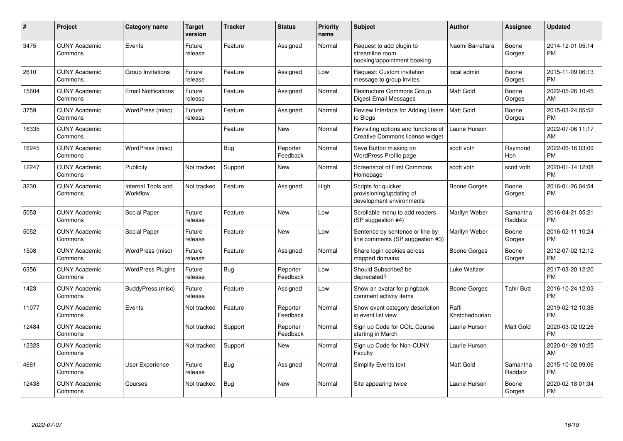| #     | Project                         | <b>Category name</b>           | <b>Target</b><br>version | <b>Tracker</b> | <b>Status</b>        | <b>Priority</b><br>name | <b>Subject</b>                                                              | <b>Author</b>           | <b>Assignee</b>     | <b>Updated</b>                |
|-------|---------------------------------|--------------------------------|--------------------------|----------------|----------------------|-------------------------|-----------------------------------------------------------------------------|-------------------------|---------------------|-------------------------------|
| 3475  | <b>CUNY Academic</b><br>Commons | Events                         | Future<br>release        | Feature        | Assigned             | Normal                  | Request to add plugin to<br>streamline room<br>booking/appointment booking  | Naomi Barrettara        | Boone<br>Gorges     | 2014-12-01 05:14<br><b>PM</b> |
| 2610  | <b>CUNY Academic</b><br>Commons | Group Invitations              | Future<br>release        | Feature        | Assigned             | Low                     | Request: Custom invitation<br>message to group invites                      | local admin             | Boone<br>Gorges     | 2015-11-09 06:13<br><b>PM</b> |
| 15604 | <b>CUNY Academic</b><br>Commons | <b>Email Notifications</b>     | Future<br>release        | Feature        | Assigned             | Normal                  | Restructure Commons Group<br>Digest Email Messages                          | <b>Matt Gold</b>        | Boone<br>Gorges     | 2022-05-26 10:45<br>AM        |
| 3759  | <b>CUNY Academic</b><br>Commons | WordPress (misc)               | Future<br>release        | Feature        | Assigned             | Normal                  | Review Interface for Adding Users<br>to Blogs                               | Matt Gold               | Boone<br>Gorges     | 2015-03-24 05:52<br><b>PM</b> |
| 16335 | <b>CUNY Academic</b><br>Commons |                                |                          | Feature        | <b>New</b>           | Normal                  | Revisiting options and functions of<br>Creative Commons license widget      | Laurie Hurson           |                     | 2022-07-06 11:17<br>AM        |
| 16245 | <b>CUNY Academic</b><br>Commons | WordPress (misc)               |                          | <b>Bug</b>     | Reporter<br>Feedback | Normal                  | Save Button missing on<br>WordPress Profile page                            | scott voth              | Raymond<br>Hoh      | 2022-06-16 03:09<br><b>PM</b> |
| 12247 | <b>CUNY Academic</b><br>Commons | Publicity                      | Not tracked              | Support        | <b>New</b>           | Normal                  | <b>Screenshot of First Commons</b><br>Homepage                              | scott voth              | scott voth          | 2020-01-14 12:08<br><b>PM</b> |
| 3230  | <b>CUNY Academic</b><br>Commons | Internal Tools and<br>Workflow | Not tracked              | Feature        | Assigned             | High                    | Scripts for quicker<br>provisioning/updating of<br>development environments | Boone Gorges            | Boone<br>Gorges     | 2016-01-26 04:54<br><b>PM</b> |
| 5053  | <b>CUNY Academic</b><br>Commons | Social Paper                   | Future<br>release        | Feature        | <b>New</b>           | Low                     | Scrollable menu to add readers<br>(SP suggestion #4)                        | Marilyn Weber           | Samantha<br>Raddatz | 2016-04-21 05:21<br><b>PM</b> |
| 5052  | <b>CUNY Academic</b><br>Commons | Social Paper                   | Future<br>release        | Feature        | <b>New</b>           | Low                     | Sentence by sentence or line by<br>line comments (SP suggestion #3)         | Marilyn Weber           | Boone<br>Gorges     | 2016-02-11 10:24<br><b>PM</b> |
| 1508  | <b>CUNY Academic</b><br>Commons | WordPress (misc)               | Future<br>release        | Feature        | Assigned             | Normal                  | Share login cookies across<br>mapped domains                                | Boone Gorges            | Boone<br>Gorges     | 2012-07-02 12:12<br><b>PM</b> |
| 6356  | <b>CUNY Academic</b><br>Commons | <b>WordPress Plugins</b>       | Future<br>release        | Bug            | Reporter<br>Feedback | Low                     | Should Subscribe2 be<br>deprecated?                                         | Luke Waltzer            |                     | 2017-03-20 12:20<br><b>PM</b> |
| 1423  | <b>CUNY Academic</b><br>Commons | BuddyPress (misc)              | Future<br>release        | Feature        | Assigned             | Low                     | Show an avatar for pingback<br>comment activity items                       | Boone Gorges            | Tahir Butt          | 2016-10-24 12:03<br><b>PM</b> |
| 11077 | <b>CUNY Academic</b><br>Commons | Events                         | Not tracked              | Feature        | Reporter<br>Feedback | Normal                  | Show event category description<br>in event list view                       | Raffi<br>Khatchadourian |                     | 2019-02-12 10:38<br><b>PM</b> |
| 12484 | <b>CUNY Academic</b><br>Commons |                                | Not tracked              | Support        | Reporter<br>Feedback | Normal                  | Sign up Code for COIL Course<br>starting in March                           | Laurie Hurson           | Matt Gold           | 2020-03-02 02:26<br><b>PM</b> |
| 12328 | <b>CUNY Academic</b><br>Commons |                                | Not tracked              | Support        | New                  | Normal                  | Sign up Code for Non-CUNY<br>Faculty                                        | Laurie Hurson           |                     | 2020-01-28 10:25<br>AM        |
| 4661  | <b>CUNY Academic</b><br>Commons | User Experience                | Future<br>release        | Bug            | Assigned             | Normal                  | Simplify Events text                                                        | <b>Matt Gold</b>        | Samantha<br>Raddatz | 2015-10-02 09:06<br><b>PM</b> |
| 12438 | <b>CUNY Academic</b><br>Commons | Courses                        | Not tracked              | <b>Bug</b>     | <b>New</b>           | Normal                  | Site appearing twice                                                        | Laurie Hurson           | Boone<br>Gorges     | 2020-02-18 01:34<br><b>PM</b> |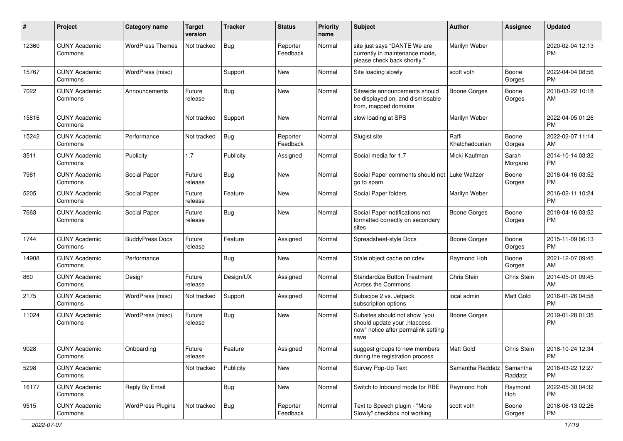| $\#$  | Project                         | Category name            | <b>Target</b><br>version | <b>Tracker</b> | <b>Status</b>        | <b>Priority</b><br>name | <b>Subject</b>                                                                                               | Author                  | <b>Assignee</b>     | <b>Updated</b>                |
|-------|---------------------------------|--------------------------|--------------------------|----------------|----------------------|-------------------------|--------------------------------------------------------------------------------------------------------------|-------------------------|---------------------|-------------------------------|
| 12360 | <b>CUNY Academic</b><br>Commons | <b>WordPress Themes</b>  | Not tracked              | <b>Bug</b>     | Reporter<br>Feedback | Normal                  | site just says "DANTE We are<br>currently in maintenance mode,<br>please check back shortly."                | Marilyn Weber           |                     | 2020-02-04 12:13<br>РM        |
| 15767 | <b>CUNY Academic</b><br>Commons | WordPress (misc)         |                          | Support        | <b>New</b>           | Normal                  | Site loading slowly                                                                                          | scott voth              | Boone<br>Gorges     | 2022-04-04 08:56<br>РM        |
| 7022  | <b>CUNY Academic</b><br>Commons | Announcements            | Future<br>release        | <b>Bug</b>     | New                  | Normal                  | Sitewide announcements should<br>be displayed on, and dismissable<br>from, mapped domains                    | <b>Boone Gorges</b>     | Boone<br>Gorges     | 2018-03-22 10:18<br>AM        |
| 15816 | <b>CUNY Academic</b><br>Commons |                          | Not tracked              | Support        | <b>New</b>           | Normal                  | slow loading at SPS                                                                                          | Marilyn Weber           |                     | 2022-04-05 01:26<br><b>PM</b> |
| 15242 | <b>CUNY Academic</b><br>Commons | Performance              | Not tracked              | <b>Bug</b>     | Reporter<br>Feedback | Normal                  | Slugist site                                                                                                 | Raffi<br>Khatchadourian | Boone<br>Gorges     | 2022-02-07 11:14<br>AM        |
| 3511  | <b>CUNY Academic</b><br>Commons | Publicity                | 1.7                      | Publicity      | Assigned             | Normal                  | Social media for 1.7                                                                                         | Micki Kaufman           | Sarah<br>Morgano    | 2014-10-14 03:32<br><b>PM</b> |
| 7981  | <b>CUNY Academic</b><br>Commons | Social Paper             | Future<br>release        | <b>Bug</b>     | <b>New</b>           | Normal                  | Social Paper comments should not<br>go to spam                                                               | Luke Waltzer            | Boone<br>Gorges     | 2018-04-16 03:52<br><b>PM</b> |
| 5205  | <b>CUNY Academic</b><br>Commons | Social Paper             | Future<br>release        | Feature        | New                  | Normal                  | Social Paper folders                                                                                         | Marilyn Weber           |                     | 2016-02-11 10:24<br><b>PM</b> |
| 7663  | <b>CUNY Academic</b><br>Commons | Social Paper             | Future<br>release        | <b>Bug</b>     | <b>New</b>           | Normal                  | Social Paper notifications not<br>formatted correctly on secondary<br>sites                                  | <b>Boone Gorges</b>     | Boone<br>Gorges     | 2018-04-16 03:52<br><b>PM</b> |
| 1744  | <b>CUNY Academic</b><br>Commons | <b>BuddyPress Docs</b>   | Future<br>release        | Feature        | Assigned             | Normal                  | Spreadsheet-style Docs                                                                                       | <b>Boone Gorges</b>     | Boone<br>Gorges     | 2015-11-09 06:13<br><b>PM</b> |
| 14908 | <b>CUNY Academic</b><br>Commons | Performance              |                          | Bug            | <b>New</b>           | Normal                  | Stale object cache on cdev                                                                                   | Raymond Hoh             | Boone<br>Gorges     | 2021-12-07 09:45<br>AM        |
| 860   | <b>CUNY Academic</b><br>Commons | Design                   | Future<br>release        | Design/UX      | Assigned             | Normal                  | <b>Standardize Button Treatment</b><br>Across the Commons                                                    | Chris Stein             | Chris Stein         | 2014-05-01 09:45<br>AM        |
| 2175  | <b>CUNY Academic</b><br>Commons | WordPress (misc)         | Not tracked              | Support        | Assigned             | Normal                  | Subscibe 2 vs. Jetpack<br>subscription options                                                               | local admin             | Matt Gold           | 2016-01-26 04:58<br><b>PM</b> |
| 11024 | <b>CUNY Academic</b><br>Commons | WordPress (misc)         | Future<br>release        | <b>Bug</b>     | New                  | Normal                  | Subsites should not show "you<br>should update your .htaccess<br>now" notice after permalink setting<br>save | <b>Boone Gorges</b>     |                     | 2019-01-28 01:35<br><b>PM</b> |
| 9028  | <b>CUNY Academic</b><br>Commons | Onboarding               | Future<br>release        | Feature        | Assigned             | Normal                  | suggest groups to new members<br>during the registration process                                             | <b>Matt Gold</b>        | Chris Stein         | 2018-10-24 12:34<br>PM        |
| 5298  | <b>CUNY Academic</b><br>Commons |                          | Not tracked              | Publicity      | New                  | Normal                  | Survey Pop-Up Text                                                                                           | Samantha Raddatz        | Samantha<br>Raddatz | 2016-03-22 12:27<br>PM        |
| 16177 | <b>CUNY Academic</b><br>Commons | Reply By Email           |                          | <b>Bug</b>     | New                  | Normal                  | Switch to Inbound mode for RBE                                                                               | Raymond Hoh             | Raymond<br>Hoh      | 2022-05-30 04:32<br><b>PM</b> |
| 9515  | <b>CUNY Academic</b><br>Commons | <b>WordPress Plugins</b> | Not tracked              | <b>Bug</b>     | Reporter<br>Feedback | Normal                  | Text to Speech plugin - "More<br>Slowly" checkbox not working                                                | scott voth              | Boone<br>Gorges     | 2018-06-13 02:26<br>PM        |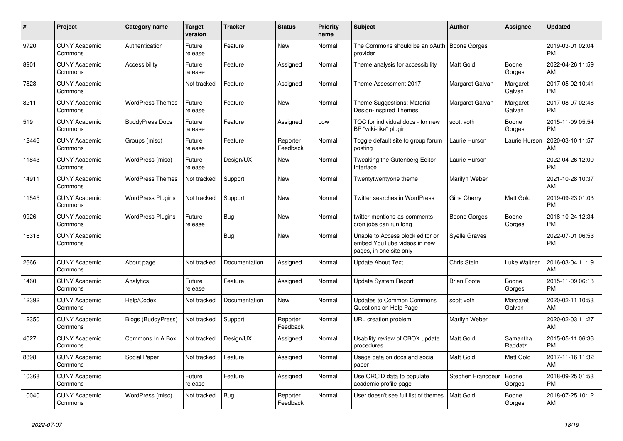| #     | <b>Project</b>                  | <b>Category name</b>      | <b>Target</b><br>version | <b>Tracker</b> | <b>Status</b>        | <b>Priority</b><br>name | <b>Subject</b>                                                                             | <b>Author</b>        | Assignee            | <b>Updated</b>                |
|-------|---------------------------------|---------------------------|--------------------------|----------------|----------------------|-------------------------|--------------------------------------------------------------------------------------------|----------------------|---------------------|-------------------------------|
| 9720  | <b>CUNY Academic</b><br>Commons | Authentication            | Future<br>release        | Feature        | New                  | Normal                  | The Commons should be an oAuth<br>provider                                                 | <b>Boone Gorges</b>  |                     | 2019-03-01 02:04<br><b>PM</b> |
| 8901  | <b>CUNY Academic</b><br>Commons | Accessibility             | Future<br>release        | Feature        | Assigned             | Normal                  | Theme analysis for accessibility                                                           | <b>Matt Gold</b>     | Boone<br>Gorges     | 2022-04-26 11:59<br>AM        |
| 7828  | <b>CUNY Academic</b><br>Commons |                           | Not tracked              | Feature        | Assigned             | Normal                  | Theme Assessment 2017                                                                      | Margaret Galvan      | Margaret<br>Galvan  | 2017-05-02 10:41<br><b>PM</b> |
| 8211  | <b>CUNY Academic</b><br>Commons | <b>WordPress Themes</b>   | Future<br>release        | Feature        | <b>New</b>           | Normal                  | Theme Suggestions: Material<br>Design-Inspired Themes                                      | Margaret Galvan      | Margaret<br>Galvan  | 2017-08-07 02:48<br><b>PM</b> |
| 519   | <b>CUNY Academic</b><br>Commons | <b>BuddyPress Docs</b>    | Future<br>release        | Feature        | Assigned             | Low                     | TOC for individual docs - for new<br>BP "wiki-like" plugin                                 | scott voth           | Boone<br>Gorges     | 2015-11-09 05:54<br><b>PM</b> |
| 12446 | <b>CUNY Academic</b><br>Commons | Groups (misc)             | Future<br>release        | Feature        | Reporter<br>Feedback | Normal                  | Toggle default site to group forum<br>posting                                              | Laurie Hurson        | Laurie Hurson       | 2020-03-10 11:57<br>AM        |
| 11843 | <b>CUNY Academic</b><br>Commons | WordPress (misc)          | Future<br>release        | Design/UX      | New                  | Normal                  | Tweaking the Gutenberg Editor<br>Interface                                                 | Laurie Hurson        |                     | 2022-04-26 12:00<br><b>PM</b> |
| 14911 | <b>CUNY Academic</b><br>Commons | <b>WordPress Themes</b>   | Not tracked              | Support        | <b>New</b>           | Normal                  | Twentytwentyone theme                                                                      | Marilyn Weber        |                     | 2021-10-28 10:37<br>AM        |
| 11545 | <b>CUNY Academic</b><br>Commons | <b>WordPress Plugins</b>  | Not tracked              | Support        | New                  | Normal                  | Twitter searches in WordPress                                                              | Gina Cherry          | Matt Gold           | 2019-09-23 01:03<br><b>PM</b> |
| 9926  | <b>CUNY Academic</b><br>Commons | <b>WordPress Plugins</b>  | Future<br>release        | <b>Bug</b>     | <b>New</b>           | Normal                  | twitter-mentions-as-comments<br>cron jobs can run long                                     | Boone Gorges         | Boone<br>Gorges     | 2018-10-24 12:34<br><b>PM</b> |
| 16318 | <b>CUNY Academic</b><br>Commons |                           |                          | <b>Bug</b>     | <b>New</b>           | Normal                  | Unable to Access block editor or<br>embed YouTube videos in new<br>pages, in one site only | <b>Syelle Graves</b> |                     | 2022-07-01 06:53<br><b>PM</b> |
| 2666  | <b>CUNY Academic</b><br>Commons | About page                | Not tracked              | Documentation  | Assigned             | Normal                  | <b>Update About Text</b>                                                                   | Chris Stein          | Luke Waltzer        | 2016-03-04 11:19<br>AM        |
| 1460  | <b>CUNY Academic</b><br>Commons | Analytics                 | Future<br>release        | Feature        | Assigned             | Normal                  | Update System Report                                                                       | <b>Brian Foote</b>   | Boone<br>Gorges     | 2015-11-09 06:13<br><b>PM</b> |
| 12392 | <b>CUNY Academic</b><br>Commons | Help/Codex                | Not tracked              | Documentation  | New                  | Normal                  | <b>Updates to Common Commons</b><br>Questions on Help Page                                 | scott voth           | Margaret<br>Galvan  | 2020-02-11 10:53<br>AM        |
| 12350 | <b>CUNY Academic</b><br>Commons | <b>Blogs (BuddyPress)</b> | Not tracked              | Support        | Reporter<br>Feedback | Normal                  | URL creation problem                                                                       | Marilyn Weber        |                     | 2020-02-03 11:27<br>AM        |
| 4027  | <b>CUNY Academic</b><br>Commons | Commons In A Box          | Not tracked              | Design/UX      | Assigned             | Normal                  | Usability review of CBOX update<br>procedures                                              | <b>Matt Gold</b>     | Samantha<br>Raddatz | 2015-05-11 06:36<br><b>PM</b> |
| 8898  | <b>CUNY Academic</b><br>Commons | Social Paper              | Not tracked              | Feature        | Assigned             | Normal                  | Usage data on docs and social<br>paper                                                     | Matt Gold            | Matt Gold           | 2017-11-16 11:32<br>AM        |
| 10368 | <b>CUNY Academic</b><br>Commons |                           | Future<br>release        | Feature        | Assigned             | Normal                  | Use ORCID data to populate<br>academic profile page                                        | Stephen Francoeur    | Boone<br>Gorges     | 2018-09-25 01:53<br><b>PM</b> |
| 10040 | <b>CUNY Academic</b><br>Commons | WordPress (misc)          | Not tracked              | <b>Bug</b>     | Reporter<br>Feedback | Normal                  | User doesn't see full list of themes                                                       | <b>Matt Gold</b>     | Boone<br>Gorges     | 2018-07-25 10:12<br>AM        |